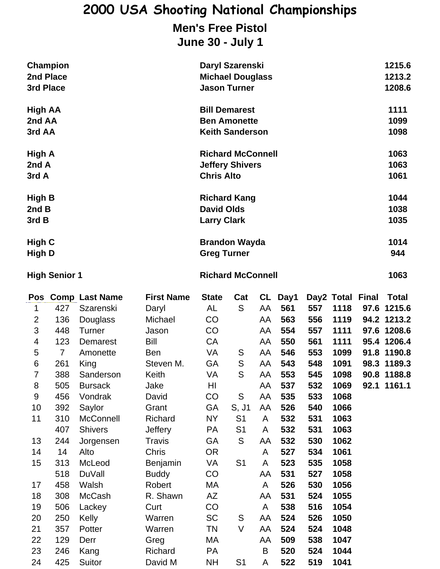## **2000 USA Shooting National Championships Men's Free Pistol**

## **June 30 - July 1**

| 2nd Place<br>3rd Place          | <b>Champion</b> |                                                               |                                       | Daryl Szarenski<br><b>Michael Douglass</b><br><b>Jason Turner</b>            |          |                         |                        |            |                                    |  | 1215.6<br>1213.2<br>1208.6                       |
|---------------------------------|-----------------|---------------------------------------------------------------|---------------------------------------|------------------------------------------------------------------------------|----------|-------------------------|------------------------|------------|------------------------------------|--|--------------------------------------------------|
| <b>High AA</b><br>2nd AA        |                 |                                                               |                                       | <b>Bill Demarest</b><br><b>Ben Amonette</b>                                  |          |                         |                        |            |                                    |  | 1111<br>1099                                     |
| 3rd AA<br>High A<br>2nd A       |                 |                                                               |                                       | <b>Keith Sanderson</b><br><b>Richard McConnell</b><br><b>Jeffery Shivers</b> |          |                         |                        |            |                                    |  | 1098<br>1063<br>1063                             |
| 3rd A<br><b>High B</b><br>2nd B |                 | <b>Chris Alto</b><br><b>Richard Kang</b><br><b>David Olds</b> |                                       |                                                                              |          |                         |                        |            | 1061<br>1044<br>1038               |  |                                                  |
| 3rd B<br>High C                 |                 |                                                               |                                       | <b>Larry Clark</b><br><b>Brandon Wayda</b>                                   |          |                         |                        |            |                                    |  | 1035<br>1014<br>944                              |
| High D<br><b>High Senior 1</b>  |                 |                                                               |                                       | <b>Greg Turner</b><br><b>Richard McConnell</b>                               |          |                         |                        |            |                                    |  | 1063                                             |
| 1<br>ົ                          | 427             | Pos Comp Last Name<br>Szarenski<br>$126$ Dougloss             | <b>First Name</b><br>Daryl<br>Mishool | <b>State</b><br>AL<br>rη.                                                    | Cat<br>S | AA<br>$\wedge$ $\wedge$ | CL Day1<br>561<br>EC ? | 557<br>EEQ | Day2 Total Final<br>1118<br>1110 L |  | <b>Total</b><br>97.6 1215.6<br><b>010 1010 0</b> |

|                | ᅩ              | υλαισποικι       | ∟u yı          | ⌒∟        | ັ              | nл | ו טע | JJI | .v   | JI .V | 14 I J.V    |
|----------------|----------------|------------------|----------------|-----------|----------------|----|------|-----|------|-------|-------------|
| $\overline{2}$ | 136            | Douglass         | Michael        | CO        |                | AA | 563  | 556 | 1119 |       | 94.2 1213.2 |
| 3              | 448            | <b>Turner</b>    | Jason          | CO        |                | AA | 554  | 557 | 1111 |       | 97.6 1208.6 |
| 4              | 123            | Demarest         | Bill           | CA        |                | AA | 550  | 561 | 1111 |       | 95.4 1206.4 |
| 5              | $\overline{7}$ | Amonette         | <b>Ben</b>     | VA        | ${\mathsf S}$  | AA | 546  | 553 | 1099 |       | 91.8 1190.8 |
| 6              | 261            | King             | Steven M.      | GA        | ${\mathsf S}$  | AA | 543  | 548 | 1091 |       | 98.3 1189.3 |
| $\overline{7}$ | 388            | Sanderson        | Keith          | VA        | S              | AA | 553  | 545 | 1098 |       | 90.8 1188.8 |
| 8              | 505            | <b>Bursack</b>   | Jake           | HI        |                | AA | 537  | 532 | 1069 |       | 92.1 1161.1 |
| 9              | 456            | Vondrak          | David          | CO        | S              | AA | 535  | 533 | 1068 |       |             |
| 10             | 392            | Saylor           | Grant          | GA        | S, J1          | AA | 526  | 540 | 1066 |       |             |
| 11             | 310            | <b>McConnell</b> | Richard        | NY        | S <sub>1</sub> | A  | 532  | 531 | 1063 |       |             |
|                | 407            | <b>Shivers</b>   | <b>Jeffery</b> | PA        | S <sub>1</sub> | A  | 532  | 531 | 1063 |       |             |
| 13             | 244            | Jorgensen        | Travis         | GA        | S              | AA | 532  | 530 | 1062 |       |             |
| 14             | 14             | Alto             | Chris          | <b>OR</b> |                | A  | 527  | 534 | 1061 |       |             |
| 15             | 313            | McLeod           | Benjamin       | VA        | S <sub>1</sub> | A  | 523  | 535 | 1058 |       |             |
|                | 518            | DuVall           | <b>Buddy</b>   | CO        |                | AA | 531  | 527 | 1058 |       |             |
| 17             | 458            | Walsh            | Robert         | МA        |                | A  | 526  | 530 | 1056 |       |             |
| 18             | 308            | McCash           | R. Shawn       | ΑZ        |                | AA | 531  | 524 | 1055 |       |             |
| 19             | 506            | Lackey           | Curt           | CO        |                | A  | 538  | 516 | 1054 |       |             |
| 20             | 250            | Kelly            | Warren         | <b>SC</b> | ${\mathsf S}$  | AA | 524  | 526 | 1050 |       |             |
| 21             | 357            | Potter           | Warren         | ΤN        | V              | AA | 524  | 524 | 1048 |       |             |
| 22             | 129            | Derr             | Greg           | МA        |                | AA | 509  | 538 | 1047 |       |             |
| 23             | 246            | Kang             | Richard        | PA        |                | B  | 520  | 524 | 1044 |       |             |
| 24             | 425            | Suitor           | David M        | <b>NH</b> | S <sub>1</sub> | A  | 522  | 519 | 1041 |       |             |
|                |                |                  |                |           |                |    |      |     |      |       |             |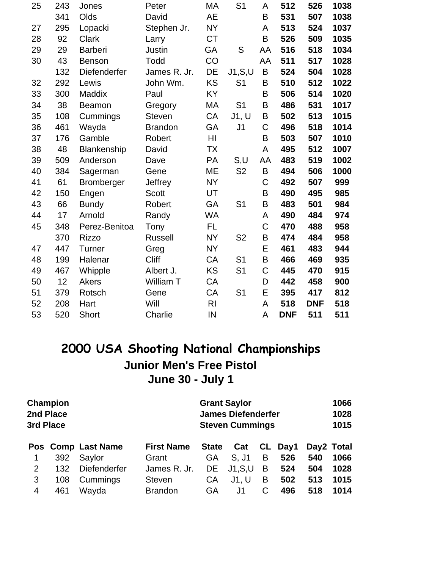| 25 | 243 | Jones          | Peter          | MA             | S <sub>1</sub> | A  | 512        | 526        | 1038 |
|----|-----|----------------|----------------|----------------|----------------|----|------------|------------|------|
|    | 341 | Olds           | David          | AE             |                | B  | 531        | 507        | 1038 |
| 27 | 295 | Lopacki        | Stephen Jr.    | <b>NY</b>      |                | A  | 513        | 524        | 1037 |
| 28 | 92  | <b>Clark</b>   | Larry          | <b>CT</b>      |                | B  | 526        | 509        | 1035 |
| 29 | 29  | <b>Barberi</b> | Justin         | GA             | S              | AA | 516        | 518        | 1034 |
| 30 | 43  | <b>Benson</b>  | Todd           | CO             |                | AA | 511        | 517        | 1028 |
|    | 132 | Diefenderfer   | James R. Jr.   | DE             | J1, S, U       | B  | 524        | 504        | 1028 |
| 32 | 292 | Lewis          | John Wm.       | <b>KS</b>      | S <sub>1</sub> | B  | 510        | 512        | 1022 |
| 33 | 300 | Maddix         | Paul           | <b>KY</b>      |                | B  | 506        | 514        | 1020 |
| 34 | 38  | <b>Beamon</b>  | Gregory        | MA             | S <sub>1</sub> | B  | 486        | 531        | 1017 |
| 35 | 108 | Cummings       | <b>Steven</b>  | CA             | J1, U          | B  | 502        | 513        | 1015 |
| 36 | 461 | Wayda          | <b>Brandon</b> | GA             | J <sub>1</sub> | C  | 496        | 518        | 1014 |
| 37 | 176 | Gamble         | Robert         | HI             |                | B  | 503        | 507        | 1010 |
| 38 | 48  | Blankenship    | David          | <b>TX</b>      |                | A  | 495        | 512        | 1007 |
| 39 | 509 | Anderson       | Dave           | PA             | S,U            | AA | 483        | 519        | 1002 |
| 40 | 384 | Sagerman       | Gene           | ME             | S <sub>2</sub> | B  | 494        | 506        | 1000 |
| 41 | 61  | Bromberger     | Jeffrey        | <b>NY</b>      |                | C  | 492        | 507        | 999  |
| 42 | 150 | Engen          | <b>Scott</b>   | UT             |                | B  | 490        | 495        | 985  |
| 43 | 66  | <b>Bundy</b>   | Robert         | GA             | S <sub>1</sub> | B  | 483        | 501        | 984  |
| 44 | 17  | Arnold         | Randy          | <b>WA</b>      |                | A  | 490        | 484        | 974  |
| 45 | 348 | Perez-Benitoa  | Tony           | FL             |                | C  | 470        | 488        | 958  |
|    | 370 | <b>Rizzo</b>   | <b>Russell</b> | <b>NY</b>      | S <sub>2</sub> | B  | 474        | 484        | 958  |
| 47 | 447 | <b>Turner</b>  | Greg           | <b>NY</b>      |                | E  | 461        | 483        | 944  |
| 48 | 199 | Halenar        | <b>Cliff</b>   | CA             | S <sub>1</sub> | B  | 466        | 469        | 935  |
| 49 | 467 | Whipple        | Albert J.      | <b>KS</b>      | S <sub>1</sub> | C  | 445        | 470        | 915  |
| 50 | 12  | Akers          | William T      | CA             |                | D  | 442        | 458        | 900  |
| 51 | 379 | Rotsch         | Gene           | CA             | S <sub>1</sub> | E  | 395        | 417        | 812  |
| 52 | 208 | Hart           | Will           | R <sub>l</sub> |                | A  | 518        | <b>DNF</b> | 518  |
| 53 | 520 | <b>Short</b>   | Charlie        | IN             |                | A  | <b>DNF</b> | 511        | 511  |

## **2000 USA Shooting National Championships Junior Men's Free Pistol June 30 - July 1**

| Champion<br>2nd Place<br>3rd Place |     |                    | <b>Grant Saylor</b><br>1066<br><b>James Diefenderfer</b><br>1028<br>1015<br><b>Steven Cummings</b> |              |                    |    |      |     |            |  |
|------------------------------------|-----|--------------------|----------------------------------------------------------------------------------------------------|--------------|--------------------|----|------|-----|------------|--|
|                                    |     | Pos Comp Last Name | <b>First Name</b>                                                                                  | <b>State</b> | Cat                | CL | Day1 |     | Day2 Total |  |
|                                    | 392 | Saylor             | Grant                                                                                              | GA           | S. J1              | B  | 526  | 540 | 1066       |  |
| 2                                  | 132 | Diefenderfer       | James R. Jr.                                                                                       |              | <b>DE</b> J1, S, U | B  | 524  | 504 | 1028       |  |
| 3                                  | 108 | Cummings           | <b>Steven</b>                                                                                      | CA           | J1, U              | B  | 502  | 513 | 1015       |  |
| 4                                  | 461 | Wayda              | <b>Brandon</b>                                                                                     | GA           | J1                 | C  | 496  | 518 | 1014       |  |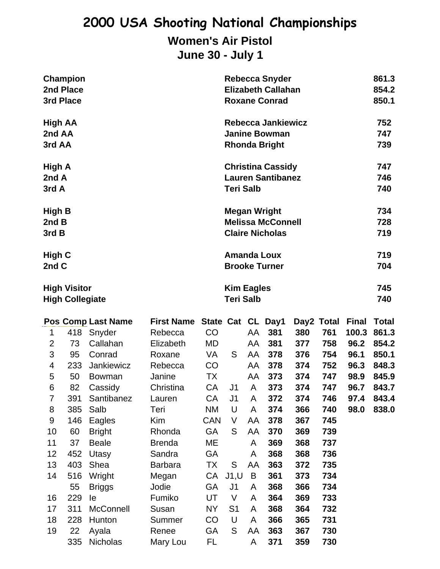## **2000 USA Shooting National Championships Women's Air Pistol June 30 - July 1**

| <b>Champion</b>        | <b>Rebecca Snyder</b>     | 861.3 |
|------------------------|---------------------------|-------|
| 2nd Place              | <b>Elizabeth Callahan</b> | 854.2 |
| 3rd Place              | <b>Roxane Conrad</b>      | 850.1 |
| <b>High AA</b>         | <b>Rebecca Jankiewicz</b> | 752   |
| 2nd AA                 | <b>Janine Bowman</b>      | 747   |
| 3rd AA                 | <b>Rhonda Bright</b>      | 739   |
| High A                 | <b>Christina Cassidy</b>  | 747   |
| 2nd A                  | <b>Lauren Santibanez</b>  | 746   |
| 3rd A                  | <b>Teri Salb</b>          | 740   |
| <b>High B</b>          | <b>Megan Wright</b>       | 734   |
| 2nd B                  | <b>Melissa McConnell</b>  | 728   |
| 3rd B                  | <b>Claire Nicholas</b>    | 719   |
| High C                 | <b>Amanda Loux</b>        | 719   |
| 2nd C                  | <b>Brooke Turner</b>      | 704   |
| <b>High Visitor</b>    | <b>Kim Eagles</b>         | 745   |
| <b>High Collegiate</b> | <b>Teri Salb</b>          | 740   |

|                |     | <b>Pos Comp Last Name</b> | First Name State Cat CL Day1 |            |                |    |     |     | Day2 Total | <b>Final</b> | Total |
|----------------|-----|---------------------------|------------------------------|------------|----------------|----|-----|-----|------------|--------------|-------|
| 1              | 418 | Snyder                    | Rebecca                      | CO         |                | AA | 381 | 380 | 761        | 100.3        | 861.3 |
| $\overline{2}$ | 73  | Callahan                  | Elizabeth                    | MD         |                | AA | 381 | 377 | 758        | 96.2         | 854.2 |
| 3              | 95  | Conrad                    | Roxane                       | VA         | S              | AA | 378 | 376 | 754        | 96.1         | 850.1 |
| 4              | 233 | Jankiewicz                | Rebecca                      | CO         |                | AA | 378 | 374 | 752        | 96.3         | 848.3 |
| 5              | 50  | <b>Bowman</b>             | Janine                       | TX         |                | AA | 373 | 374 | 747        | 98.9         | 845.9 |
| 6              | 82  | Cassidy                   | Christina                    | CA         | J <sub>1</sub> | A  | 373 | 374 | 747        | 96.7         | 843.7 |
| 7              | 391 | Santibanez                | Lauren                       | CA         | J <sub>1</sub> | A  | 372 | 374 | 746        | 97.4         | 843.4 |
| 8              | 385 | Salb                      | Teri                         | <b>NM</b>  | U              | A  | 374 | 366 | 740        | 98.0         | 838.0 |
| 9              | 146 | Eagles                    | Kim                          | <b>CAN</b> | V              | AA | 378 | 367 | 745        |              |       |
| 10             | 60  | <b>Bright</b>             | Rhonda                       | <b>GA</b>  | S              | AA | 370 | 369 | 739        |              |       |
| 11             | 37  | <b>Beale</b>              | <b>Brenda</b>                | ME         |                | A  | 369 | 368 | 737        |              |       |
| 12             | 452 | Utasy                     | Sandra                       | GA         |                | A  | 368 | 368 | 736        |              |       |
| 13             | 403 | Shea                      | <b>Barbara</b>               | TX         | S              | AA | 363 | 372 | 735        |              |       |
| 14             | 516 | Wright                    | Megan                        | CA         | J1, U          | B  | 361 | 373 | 734        |              |       |
|                | 55  | <b>Briggs</b>             | Jodie                        | <b>GA</b>  | J <sub>1</sub> | A  | 368 | 366 | 734        |              |       |
| 16             | 229 | le                        | Fumiko                       | UT         | V              | A  | 364 | 369 | 733        |              |       |
| 17             | 311 | <b>McConnell</b>          | Susan                        | <b>NY</b>  | S <sub>1</sub> | A  | 368 | 364 | 732        |              |       |
| 18             | 228 | Hunton                    | Summer                       | CO         | U              | A  | 366 | 365 | 731        |              |       |
| 19             | 22  | Ayala                     | Renee                        | GA         | S              | AA | 363 | 367 | 730        |              |       |
|                | 335 | <b>Nicholas</b>           | Mary Lou                     | FL         |                | A  | 371 | 359 | 730        |              |       |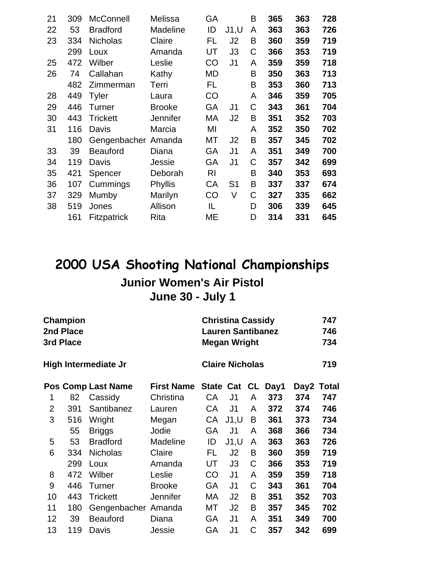| 21 | 309 | <b>McConnell</b>   | Melissa         | GA |                | B | 365 | 363 | 728 |
|----|-----|--------------------|-----------------|----|----------------|---|-----|-----|-----|
| 22 | 53  | <b>Bradford</b>    | Madeline        | ID | J1, U          | A | 363 | 363 | 726 |
| 23 | 334 | <b>Nicholas</b>    | Claire          | FL | J2             | B | 360 | 359 | 719 |
|    | 299 | Loux               | Amanda          | UT | J3             | C | 366 | 353 | 719 |
| 25 | 472 | Wilber             | Leslie          | CO | J <sub>1</sub> | A | 359 | 359 | 718 |
| 26 | 74  | Callahan           | Kathy           | MD |                | B | 350 | 363 | 713 |
|    | 482 | Zimmerman          | Terri           | FL |                | B | 353 | 360 | 713 |
| 28 | 449 | <b>Tyler</b>       | Laura           | CO |                | A | 346 | 359 | 705 |
| 29 | 446 | <b>Turner</b>      | <b>Brooke</b>   | GA | J <sub>1</sub> | С | 343 | 361 | 704 |
| 30 | 443 | <b>Trickett</b>    | <b>Jennifer</b> | МA | J2             | B | 351 | 352 | 703 |
| 31 | 116 | Davis              | Marcia          | MI |                | A | 352 | 350 | 702 |
|    | 180 | Gengenbacher       | Amanda          | МT | J2             | B | 357 | 345 | 702 |
| 33 | 39  | <b>Beauford</b>    | Diana           | GA | J1             | A | 351 | 349 | 700 |
| 34 | 119 | Davis              | Jessie          | GA | J1             | С | 357 | 342 | 699 |
| 35 | 421 | Spencer            | Deborah         | RI |                | B | 340 | 353 | 693 |
| 36 | 107 | Cummings           | Phyllis         | СA | S <sub>1</sub> | B | 337 | 337 | 674 |
| 37 | 329 | Mumby              | Marilyn         | CO | V              | C | 327 | 335 | 662 |
| 38 | 519 | Jones              | Allison         | IL |                | D | 306 | 339 | 645 |
|    | 161 | <b>Fitzpatrick</b> | Rita            | ME |                | D | 314 | 331 | 645 |
|    |     |                    |                 |    |                |   |     |     |     |

## **2000 USA Shooting National Championships Junior Women's Air Pistol June 30 - July 1**

| 3rd Place      | Champion<br>2nd Place |                             |                   |              | <b>Christina Cassidy</b><br><b>Lauren Santibanez</b><br><b>Megan Wright</b> |   | 747<br>746<br>734 |      |              |  |
|----------------|-----------------------|-----------------------------|-------------------|--------------|-----------------------------------------------------------------------------|---|-------------------|------|--------------|--|
|                |                       | <b>High Intermediate Jr</b> |                   |              | <b>Claire Nicholas</b>                                                      |   |                   | 719  |              |  |
|                |                       | <b>Pos Comp Last Name</b>   | <b>First Name</b> | State Cat CL |                                                                             |   | Day1              | Day2 | <b>Total</b> |  |
| 1              | 82                    | Cassidy                     | Christina         | СA           | J1                                                                          | A | 373               | 374  | 747          |  |
| $\overline{2}$ | 391                   | Santibanez                  | Lauren            | СA           | J <sub>1</sub>                                                              | A | 372               | 374  | 746          |  |
| 3              | 516                   | Wright                      | Megan             | СA           | J1, U                                                                       | B | 361               | 373  | 734          |  |
|                | 55                    | <b>Briggs</b>               | Jodie             | GA           | J <sub>1</sub>                                                              | A | 368               | 366  | 734          |  |
| 5              | 53                    | <b>Bradford</b>             | Madeline          | ID           | J1, U                                                                       | A | 363               | 363  | 726          |  |
| 6              | 334                   | <b>Nicholas</b>             | Claire            | FL           | J <sub>2</sub>                                                              | B | 360               | 359  | 719          |  |
|                | 299                   | Loux                        | Amanda            | UT           | J3                                                                          | C | 366               | 353  | 719          |  |
| 8              | 472                   | Wilber                      | Leslie            | CO           | J <sub>1</sub>                                                              | A | 359               | 359  | 718          |  |
| 9              | 446                   | Turner                      | <b>Brooke</b>     | GA           | J <sub>1</sub>                                                              | C | 343               | 361  | 704          |  |
| 10             | 443                   | <b>Trickett</b>             | <b>Jennifer</b>   | МA           | J <sub>2</sub>                                                              | B | 351               | 352  | 703          |  |
| 11             | 180                   | Gengenbacher Amanda         |                   | МT           | J2                                                                          | B | 357               | 345  | 702          |  |
| 12             | 39                    | <b>Beauford</b>             | Diana             | GA           | J <sub>1</sub>                                                              | A | 351               | 349  | 700          |  |
| 13             | 119                   | Davis                       | Jessie            | GА           | J1                                                                          | C | 357               | 342  | 699          |  |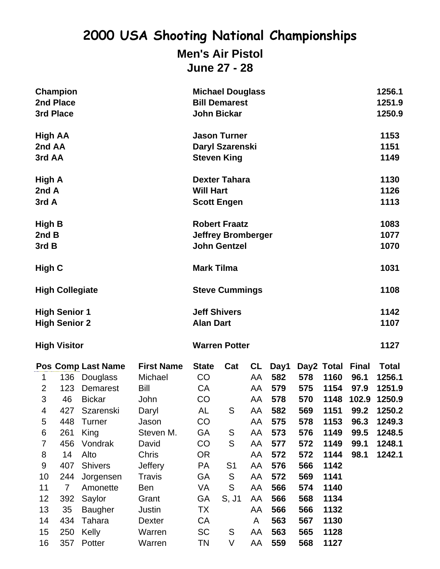**Men's Air Pistol June 27 - 28**

|                                              | <b>Champion</b><br>2nd Place<br>3rd Place |                                            |                                         | <b>Michael Douglass</b><br><b>Bill Demarest</b><br><b>John Bickar</b> |                                                                          | 1256.1<br>1251.9<br>1250.9 |                    |                   |                            |                              |                                  |  |
|----------------------------------------------|-------------------------------------------|--------------------------------------------|-----------------------------------------|-----------------------------------------------------------------------|--------------------------------------------------------------------------|----------------------------|--------------------|-------------------|----------------------------|------------------------------|----------------------------------|--|
| High AA<br>2nd AA<br>3rd AA                  |                                           |                                            |                                         | <b>Jason Turner</b><br>Daryl Szarenski<br><b>Steven King</b>          |                                                                          | 1153<br>1151<br>1149       |                    |                   |                            |                              |                                  |  |
| High A<br>2nd A<br>3rd A                     |                                           |                                            |                                         | <b>Will Hart</b>                                                      | <b>Dexter Tahara</b><br><b>Scott Engen</b>                               |                            |                    |                   |                            |                              | 1130<br>1126<br>1113             |  |
| High B<br>2nd B<br>3rd B                     |                                           |                                            |                                         |                                                                       | <b>Robert Fraatz</b><br><b>Jeffrey Bromberger</b><br><b>John Gentzel</b> |                            |                    |                   |                            |                              | 1083<br>1077<br>1070             |  |
| High C                                       |                                           |                                            |                                         | <b>Mark Tilma</b>                                                     |                                                                          | 1031                       |                    |                   |                            |                              |                                  |  |
|                                              | <b>High Collegiate</b>                    |                                            |                                         |                                                                       | <b>Steve Cummings</b>                                                    |                            |                    |                   |                            |                              |                                  |  |
| <b>High Senior 1</b><br><b>High Senior 2</b> |                                           |                                            | <b>Jeff Shivers</b><br><b>Alan Dart</b> |                                                                       |                                                                          |                            |                    |                   |                            | 1142<br>1107                 |                                  |  |
|                                              | <b>High Visitor</b>                       |                                            |                                         | <b>Warren Potter</b>                                                  |                                                                          |                            |                    |                   |                            |                              |                                  |  |
| 1<br>$\overline{2}$                          | 136<br>123                                | Pos Comp Last Name<br>Douglass<br>Demarest | <b>First Name</b><br>Michael<br>Bill    | <b>State</b><br>CO<br><b>CA</b>                                       | Cat                                                                      | CL<br>AA<br>AA             | Day1<br>582<br>579 | 578<br>575        | Day2 Total<br>1160<br>1154 | <b>Final</b><br>96.1<br>97.9 | <b>Total</b><br>1256.1<br>1251.9 |  |
| 3<br>4                                       | 46<br>427                                 | <b>Bickar</b><br>Szarenski                 | John<br>Daryl                           | CO<br>AL                                                              | ${\mathsf S}$                                                            | AA<br>AA                   | 578<br>582         | 570<br>569        | 1148<br>1151               | 102.9<br>99.2                | 1250.9<br>1250.2                 |  |
| 5<br>6<br>7                                  | 448<br>261<br>456                         | <b>Turner</b><br>King<br>Vondrak           | Jason<br>Steven M.<br>David             | CO<br>GA<br>CO                                                        | ${\mathsf S}$<br>${\mathsf S}$                                           | AA<br>AA<br>AA             | 575<br>573<br>577  | 578<br>576<br>572 | 1153<br>1149<br>1149       | 96.3<br>99.5<br>99.1         | 1249.3<br>1248.5<br>1248.1       |  |
| 8<br>$\boldsymbol{9}$<br>10                  | 14<br>407<br>244                          | Alto<br><b>Shivers</b><br>Jorgensen        | Chris<br>Jeffery<br><b>Travis</b>       | <b>OR</b><br><b>PA</b><br>GA                                          | S <sub>1</sub><br>S                                                      | AA<br>AA<br>AA             | 572<br>576<br>572  | 572<br>566<br>569 | 1144<br>1142<br>1141       | 98.1                         | 1242.1                           |  |
| 11<br>12                                     | $\overline{7}$<br>392                     | Amonette<br>Saylor                         | Ben<br>Grant                            | VA<br>GA                                                              | ${\sf S}$<br>S, J1                                                       | AA<br>AA                   | 566<br>566         | 574<br>568        | 1140<br>1134               |                              |                                  |  |
| 13<br>14<br>15                               | 35<br>434<br>250                          | <b>Baugher</b><br>Tahara<br>Kelly          | Justin<br><b>Dexter</b><br>Warren       | TX<br>CA<br><b>SC</b>                                                 | S                                                                        | AA<br>A<br>AA              | 566<br>563<br>563  | 566<br>567<br>565 | 1132<br>1130<br>1128       |                              |                                  |  |
| 16                                           | 357                                       | Potter                                     | Warren                                  | <b>TN</b>                                                             | V                                                                        | AA                         | 559                | 568               | 1127                       |                              |                                  |  |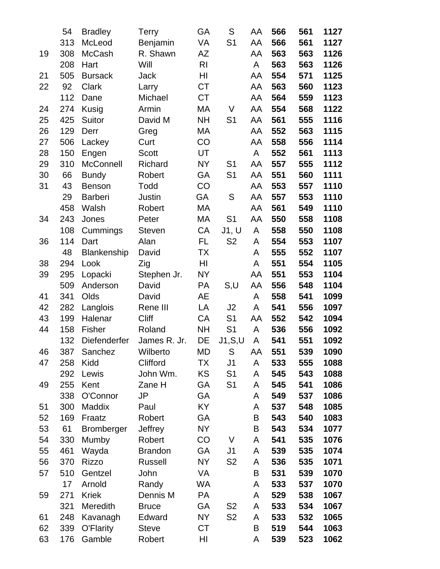|    | 54  | <b>Bradley</b>    | Terry          | GA             | S              | AA | 566 | 561 | 1127 |
|----|-----|-------------------|----------------|----------------|----------------|----|-----|-----|------|
|    | 313 | McLeod            | Benjamin       | VA             | S <sub>1</sub> | AA | 566 | 561 | 1127 |
| 19 | 308 | <b>McCash</b>     | R. Shawn       | AZ             |                | AA | 563 | 563 | 1126 |
|    | 208 | Hart              | Will           | R <sub>l</sub> |                | A  | 563 | 563 | 1126 |
| 21 | 505 | <b>Bursack</b>    | <b>Jack</b>    | HI             |                | AA | 554 | 571 | 1125 |
| 22 | 92  | Clark             | Larry          | <b>CT</b>      |                | AA | 563 | 560 | 1123 |
|    | 112 | Dane              | Michael        | <b>CT</b>      |                | AA | 564 | 559 | 1123 |
| 24 | 274 | Kusig             | Armin          | МA             | V              | AA | 554 | 568 | 1122 |
| 25 | 425 | Suitor            | David M        | <b>NH</b>      | S <sub>1</sub> | AA | 561 | 555 | 1116 |
| 26 | 129 | Derr              | Greg           | МA             |                | AA | 552 | 563 | 1115 |
| 27 | 506 | Lackey            | Curt           | CO             |                | AA | 558 | 556 | 1114 |
| 28 | 150 | Engen             | <b>Scott</b>   | UT             |                | A  | 552 | 561 | 1113 |
| 29 | 310 | McConnell         | Richard        | <b>NY</b>      | S <sub>1</sub> | AA | 557 | 555 | 1112 |
| 30 | 66  | <b>Bundy</b>      | Robert         | GA             | S <sub>1</sub> | AA | 551 | 560 | 1111 |
| 31 | 43  | <b>Benson</b>     | Todd           | CO             |                | AA | 553 | 557 | 1110 |
|    | 29  | Barberi           | Justin         | GA             | S              | AA | 557 | 553 | 1110 |
|    | 458 | Walsh             | Robert         | MA             |                | AA | 561 | 549 | 1110 |
| 34 | 243 | Jones             | Peter          | MA             | S <sub>1</sub> | AA | 550 | 558 | 1108 |
|    | 108 | Cummings          | <b>Steven</b>  | CA             | J1, U          | A  | 558 | 550 | 1108 |
| 36 | 114 | Dart              | Alan           | FL.            | S <sub>2</sub> | A  | 554 | 553 | 1107 |
|    | 48  | Blankenship       | David          | ТX             |                | A  | 555 | 552 | 1107 |
| 38 | 294 | Look              | Zig            | HI             |                | A  | 551 | 554 | 1105 |
| 39 | 295 | Lopacki           | Stephen Jr.    | <b>NY</b>      |                | AA | 551 | 553 | 1104 |
|    | 509 | Anderson          | David          | <b>PA</b>      | S,U            | AA | 556 | 548 | 1104 |
| 41 | 341 | Olds              | David          | <b>AE</b>      |                | A  | 558 | 541 | 1099 |
| 42 | 282 | Langlois          | Rene III       | LA             | J2             | A  | 541 | 556 | 1097 |
| 43 | 199 | Halenar           | Cliff          | CA             | S <sub>1</sub> | AA | 552 | 542 | 1094 |
| 44 | 158 | <b>Fisher</b>     | Roland         | <b>NH</b>      | S <sub>1</sub> | A  | 536 | 556 | 1092 |
|    | 132 | Diefenderfer      | James R. Jr.   | DE             | J1, S, U       | A  | 541 | 551 | 1092 |
| 46 | 387 | Sanchez           | Wilberto       | MD             | S              | AA | 551 | 539 | 1090 |
| 47 | 258 | Kidd              | Clifford       | <b>TX</b>      | J <sub>1</sub> | A  | 533 | 555 | 1088 |
|    | 292 | Lewis             | John Wm.       | KS             | S <sub>1</sub> | A  | 545 | 543 | 1088 |
| 49 | 255 | Kent              | Zane H         | GА             | S <sub>1</sub> | A  | 545 | 541 | 1086 |
|    | 338 | O'Connor          | JP             | GA             |                | A  | 549 | 537 | 1086 |
| 51 | 300 | Maddix            | Paul           | KY             |                | A  | 537 | 548 | 1085 |
| 52 | 169 | Fraatz            | Robert         | GA             |                | B  | 543 | 540 | 1083 |
| 53 | 61  | <b>Bromberger</b> | Jeffrey        | <b>NY</b>      |                | B  | 543 | 534 | 1077 |
| 54 | 330 | Mumby             | Robert         | CO             | V              | A  | 541 | 535 | 1076 |
| 55 | 461 | Wayda             | <b>Brandon</b> | GА             | J <sub>1</sub> | A  | 539 | 535 | 1074 |
| 56 | 370 | <b>Rizzo</b>      | Russell        | <b>NY</b>      | S <sub>2</sub> | A  | 536 | 535 | 1071 |
| 57 | 510 | Gentzel           | John           | VA             |                | B  | 531 | 539 | 1070 |
|    | 17  | Arnold            | Randy          | WA             |                | A  | 533 | 537 | 1070 |
| 59 | 271 | <b>Kriek</b>      | Dennis M       | <b>PA</b>      |                | A  | 529 | 538 | 1067 |
|    | 321 | Meredith          | <b>Bruce</b>   | GА             | S <sub>2</sub> | A  | 533 | 534 | 1067 |
| 61 | 248 | Kavanagh          | Edward         | NY.            | S <sub>2</sub> | A  | 533 | 532 | 1065 |
| 62 | 339 | O'Flarity         | <b>Steve</b>   | СT             |                | B  | 519 | 544 | 1063 |
| 63 | 176 | Gamble            | Robert         | HI             |                | A  | 539 | 523 | 1062 |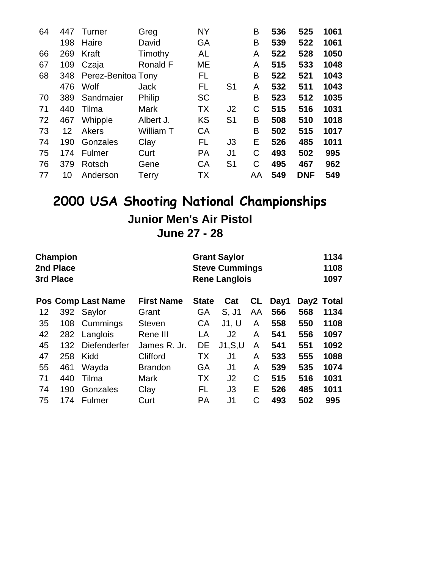| 1061<br>525                                                                      |
|----------------------------------------------------------------------------------|
| 1061<br>522                                                                      |
| 528<br>1050                                                                      |
| 1048                                                                             |
| 1043                                                                             |
| 1043                                                                             |
| 1035                                                                             |
| 1031                                                                             |
| 1018                                                                             |
| 1017                                                                             |
| 1011                                                                             |
| 995                                                                              |
| 962                                                                              |
| 549                                                                              |
| 533<br>521<br>511<br>512<br>516<br>510<br>515<br>485<br>502<br>467<br><b>DNF</b> |

## **2000 USA Shooting National Championships Junior Men's Air Pistol June 27 - 28**

|    | <b>Champion</b><br>2nd Place<br>3rd Place |                           |                   |              | <b>Grant Saylor</b><br><b>Steve Cummings</b><br><b>Rene Langlois</b> |    |      |            |      |  |
|----|-------------------------------------------|---------------------------|-------------------|--------------|----------------------------------------------------------------------|----|------|------------|------|--|
|    |                                           | <b>Pos Comp Last Name</b> | <b>First Name</b> | <b>State</b> | Cat                                                                  | CL | Day1 | Day2 Total |      |  |
| 12 |                                           | 392 Saylor                | Grant             | GА           | S, J1                                                                | AA | 566  | 568        | 1134 |  |
| 35 | 108                                       | Cummings                  | <b>Steven</b>     | CA           | J1, U                                                                | A  | 558  | 550        | 1108 |  |
| 42 | 282                                       | Langlois                  | Rene III          | LA           | J <sub>2</sub>                                                       | A  | 541  | 556        | 1097 |  |
| 45 | 132                                       | <b>Diefenderfer</b>       | James R. Jr.      | DE           | J1, S, U                                                             | A  | 541  | 551        | 1092 |  |
| 47 | 258                                       | Kidd                      | Clifford          | ТX           | J1                                                                   | A  | 533  | 555        | 1088 |  |
| 55 | 461                                       | Wayda                     | <b>Brandon</b>    | GA           | J1                                                                   | A  | 539  | 535        | 1074 |  |
| 71 | 440                                       | Tilma                     | <b>Mark</b>       | ТX           | J <sub>2</sub>                                                       | C  | 515  | 516        | 1031 |  |
| 74 | 190                                       | Gonzales                  | Clay              | FL           | J3                                                                   | E  | 526  | 485        | 1011 |  |
| 75 | 174                                       | Fulmer                    | Curt              | PA           | J <sub>1</sub>                                                       | C  | 493  | 502        | 995  |  |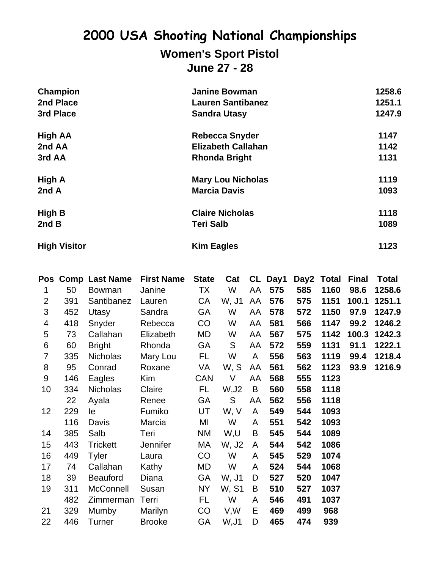## **2000 USA Shooting National Championships Women's Sport Pistol**

**June 27 - 28**

| Champion            | <b>Janine Bowman</b>      | 1258.6 |
|---------------------|---------------------------|--------|
| 2nd Place           | <b>Lauren Santibanez</b>  | 1251.1 |
| 3rd Place           | <b>Sandra Utasy</b>       | 1247.9 |
| <b>High AA</b>      | <b>Rebecca Snyder</b>     | 1147   |
| 2nd AA              | <b>Elizabeth Callahan</b> | 1142   |
| 3rd AA              | <b>Rhonda Bright</b>      | 1131   |
| High A              | <b>Mary Lou Nicholas</b>  | 1119   |
| 2nd A               | <b>Marcia Davis</b>       | 1093   |
| <b>High B</b>       | <b>Claire Nicholas</b>    | 1118   |
| 2ndB                | <b>Teri Salb</b>          | 1089   |
| <b>High Visitor</b> | <b>Kim Eagles</b>         | 1123   |

|                |     | Pos Comp Last Name | <b>First Name</b> | <b>State</b> | Cat   |    | CL Day1 |     | Day2 Total | <b>Final</b> | <b>Total</b> |
|----------------|-----|--------------------|-------------------|--------------|-------|----|---------|-----|------------|--------------|--------------|
| 1              | 50  | <b>Bowman</b>      | Janine            | TX           | W     | AA | 575     | 585 | 1160       | 98.6         | 1258.6       |
| $\overline{2}$ | 391 | Santibanez         | Lauren            | CA           | W, J1 | AA | 576     | 575 | 1151       | 100.1        | 1251.1       |
| 3              | 452 | Utasy              | Sandra            | GA           | W     | AA | 578     | 572 | 1150       | 97.9         | 1247.9       |
| 4              | 418 | Snyder             | Rebecca           | CO           | W     | AA | 581     | 566 | 1147       | 99.2         | 1246.2       |
| 5              | 73  | Callahan           | Elizabeth         | MD           | W     | AA | 567     | 575 | 1142       | 100.3        | 1242.3       |
| 6              | 60  | <b>Bright</b>      | Rhonda            | GA           | S     | AA | 572     | 559 | 1131       | 91.1         | 1222.1       |
| $\overline{7}$ | 335 | <b>Nicholas</b>    | Mary Lou          | FL.          | W     | A  | 556     | 563 | 1119       | 99.4         | 1218.4       |
| 8              | 95  | Conrad             | Roxane            | VA           | W, S  | AA | 561     | 562 | 1123       | 93.9         | 1216.9       |
| $9\,$          | 146 | Eagles             | <b>Kim</b>        | <b>CAN</b>   | V     | AA | 568     | 555 | 1123       |              |              |
| 10             | 334 | <b>Nicholas</b>    | Claire            | FL.          | W, J2 | B  | 560     | 558 | 1118       |              |              |
|                | 22  | Ayala              | Renee             | GA           | S     | AA | 562     | 556 | 1118       |              |              |
| 12             | 229 | le                 | Fumiko            | UT           | W, V  | A  | 549     | 544 | 1093       |              |              |
|                | 116 | Davis              | Marcia            | MI           | W     | A  | 551     | 542 | 1093       |              |              |
| 14             | 385 | Salb               | Teri              | NM           | W,U   | B  | 545     | 544 | 1089       |              |              |
| 15             | 443 | <b>Trickett</b>    | Jennifer          | МA           | W, J2 | A  | 544     | 542 | 1086       |              |              |
| 16             | 449 | <b>Tyler</b>       | Laura             | CO           | W     | A  | 545     | 529 | 1074       |              |              |
| 17             | 74  | Callahan           | Kathy             | MD           | W     | A  | 524     | 544 | 1068       |              |              |
| 18             | 39  | <b>Beauford</b>    | Diana             | GA           | W, J1 | D  | 527     | 520 | 1047       |              |              |
| 19             | 311 | <b>McConnell</b>   | Susan             | <b>NY</b>    | W, S1 | B  | 510     | 527 | 1037       |              |              |
|                | 482 | Zimmerman          | Terri             | FL.          | W     | A  | 546     | 491 | 1037       |              |              |
| 21             | 329 | Mumby              | Marilyn           | CO           | V, W  | E  | 469     | 499 | 968        |              |              |
| 22             | 446 | Turner             | <b>Brooke</b>     | GA           | W, J1 | D  | 465     | 474 | 939        |              |              |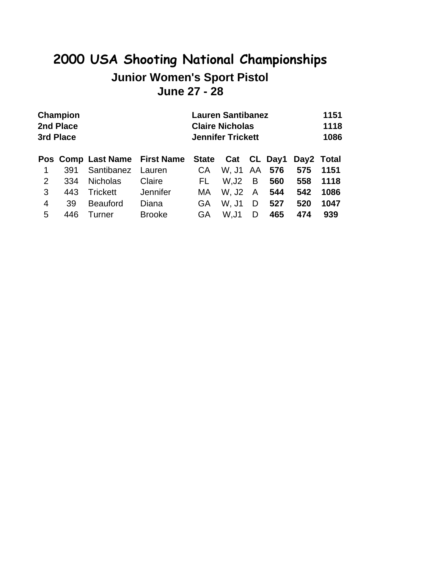## **2000 USA Shooting National Championships Junior Women's Sport Pistol June 27 - 28**

|                | <b>Champion</b><br>2nd Place<br>3rd Place |                               |               |    | <b>Lauren Santibanez</b><br><b>Claire Nicholas</b><br><b>Jennifer Trickett</b> | 1151<br>1118<br>1086 |     |     |            |
|----------------|-------------------------------------------|-------------------------------|---------------|----|--------------------------------------------------------------------------------|----------------------|-----|-----|------------|
|                |                                           | Pos Comp Last Name First Name |               |    | State Cat CL Day1                                                              |                      |     |     | Day2 Total |
|                | 391                                       | Santibanez                    | Lauren        | CA | W. J1 AA                                                                       |                      | 576 | 575 | 1151       |
| $\overline{2}$ | 334                                       | <b>Nicholas</b>               | Claire        | FL | W,J2                                                                           | B                    | 560 | 558 | 1118       |
| 3              | 443                                       | Trickett                      | Jennifer      | MA | W. J2                                                                          | $\mathsf{A}$         | 544 | 542 | 1086       |
| $\overline{4}$ | 39                                        | <b>Beauford</b>               | Diana         | GA | W. J1                                                                          | D                    | 527 | 520 | 1047       |
| 5              | 446                                       | Turner                        | <b>Brooke</b> | GA | W.J1                                                                           | D                    | 465 | 474 | 939        |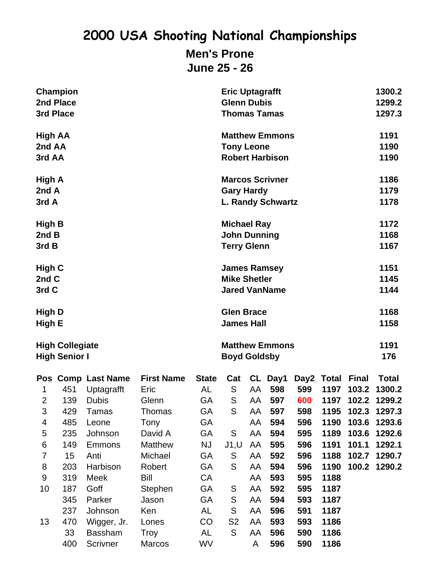### **2000 USA Shooting National Championships Men's Prone June 25 - 26**

| 3rd Place                                                                     | Champion<br>2nd Place                                                           |                                                                                                                                                         |                                                                                                                                    |                                                                                                                  | <b>Eric Uptagrafft</b><br><b>Glenn Dubis</b><br><b>Thomas Tamas</b>                           |                                                                      |                                                                                             |                                                                                  |                                                                                                            |                                                                    | 1300.2<br>1299.2<br>1297.3                                                                               |  |
|-------------------------------------------------------------------------------|---------------------------------------------------------------------------------|---------------------------------------------------------------------------------------------------------------------------------------------------------|------------------------------------------------------------------------------------------------------------------------------------|------------------------------------------------------------------------------------------------------------------|-----------------------------------------------------------------------------------------------|----------------------------------------------------------------------|---------------------------------------------------------------------------------------------|----------------------------------------------------------------------------------|------------------------------------------------------------------------------------------------------------|--------------------------------------------------------------------|----------------------------------------------------------------------------------------------------------|--|
| High AA<br>2nd AA<br>3rd AA                                                   |                                                                                 |                                                                                                                                                         |                                                                                                                                    |                                                                                                                  | <b>Tony Leone</b>                                                                             |                                                                      | <b>Matthew Emmons</b><br><b>Robert Harbison</b>                                             |                                                                                  |                                                                                                            | 1191<br>1190<br>1190                                               |                                                                                                          |  |
| High A<br>2nd A<br>3rd A                                                      |                                                                                 |                                                                                                                                                         |                                                                                                                                    |                                                                                                                  | <b>Marcos Scrivner</b><br><b>Gary Hardy</b>                                                   |                                                                      | <b>L. Randy Schwartz</b>                                                                    |                                                                                  |                                                                                                            | 1186<br>1179<br>1178                                               |                                                                                                          |  |
| High B<br>2nd B<br>3rd B                                                      |                                                                                 |                                                                                                                                                         |                                                                                                                                    |                                                                                                                  | <b>Michael Ray</b><br><b>John Dunning</b><br><b>Terry Glenn</b>                               |                                                                      |                                                                                             |                                                                                  |                                                                                                            |                                                                    | 1172<br>1168<br>1167                                                                                     |  |
| High C<br>2nd C<br>3rd C                                                      |                                                                                 |                                                                                                                                                         |                                                                                                                                    |                                                                                                                  | <b>James Ramsey</b><br><b>Mike Shetler</b><br><b>Jared VanName</b>                            |                                                                      |                                                                                             |                                                                                  |                                                                                                            |                                                                    | 1151<br>1145<br>1144                                                                                     |  |
| <b>High D</b><br>High E                                                       |                                                                                 |                                                                                                                                                         |                                                                                                                                    |                                                                                                                  | <b>Glen Brace</b><br><b>James Hall</b>                                                        |                                                                      |                                                                                             |                                                                                  |                                                                                                            |                                                                    | 1168<br>1158                                                                                             |  |
| <b>High Collegiate</b><br><b>High Senior I</b>                                |                                                                                 |                                                                                                                                                         |                                                                                                                                    |                                                                                                                  | <b>Matthew Emmons</b><br><b>Boyd Goldsby</b>                                                  |                                                                      |                                                                                             | 1191<br>176                                                                      |                                                                                                            |                                                                    |                                                                                                          |  |
| 1<br>$\overline{2}$<br>3<br>4<br>5<br>$\,6$<br>$\overline{7}$<br>8<br>9<br>10 | 451<br>139<br>429<br>485<br>235<br>149<br>15<br>203<br>319<br>187<br>345<br>237 | Pos Comp Last Name<br>Uptagrafft<br><b>Dubis</b><br>Tamas<br>Leone<br>Johnson<br><b>Emmons</b><br>Anti<br>Harbison<br>Meek<br>Goff<br>Parker<br>Johnson | <b>First Name</b><br>Eric<br>Glenn<br>Thomas<br>Tony<br>David A<br>Matthew<br>Michael<br>Robert<br>Bill<br>Stephen<br>Jason<br>Ken | <b>State</b><br>AL<br>GA<br>GA<br><b>GA</b><br><b>GA</b><br><b>NJ</b><br><b>GA</b><br>GA<br>CA<br>GA<br>GA<br>AL | Cat<br>S<br>S<br>S<br>S<br>J1, U<br>S<br>${\mathsf S}$<br>${\mathsf S}$<br>${\mathsf S}$<br>S | AA<br>AA<br>AA<br>AA<br>AA<br>AA<br>AA<br>AA<br>AA<br>AA<br>AA<br>AA | CL Day1<br>598<br>597<br>597<br>594<br>594<br>595<br>592<br>594<br>593<br>592<br>594<br>596 | 599<br>600<br>598<br>596<br>595<br>596<br>596<br>596<br>595<br>595<br>593<br>591 | Day2 Total<br>1197<br>1197<br>1195<br>1190<br>1189<br>1191<br>1188<br>1190<br>1188<br>1187<br>1187<br>1187 | <b>Final</b><br>103.2<br>102.2<br>103.6<br>103.6<br>101.1<br>100.2 | <b>Total</b><br>1300.2<br>1299.2<br>102.3 1297.3<br>1293.6<br>1292.6<br>1292.1<br>102.7 1290.7<br>1290.2 |  |
| 13                                                                            | 470<br>33<br>400                                                                | Wigger, Jr.<br><b>Bassham</b><br>Scrivner                                                                                                               | Lones<br><b>Troy</b><br><b>Marcos</b>                                                                                              | CO<br>AL<br>WV                                                                                                   | S <sub>2</sub><br>S                                                                           | AA<br>AA<br>A                                                        | 593<br>596<br>596                                                                           | 593<br>590<br>590                                                                | 1186<br>1186<br>1186                                                                                       |                                                                    |                                                                                                          |  |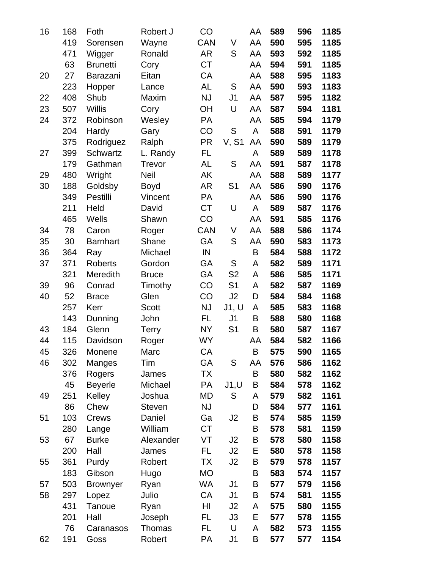| 16 | 168 | Foth            | Robert J      | CO         |                | AA | 589 | 596 | 1185 |
|----|-----|-----------------|---------------|------------|----------------|----|-----|-----|------|
|    | 419 | Sorensen        | Wayne         | <b>CAN</b> | V              | AA | 590 | 595 | 1185 |
|    | 471 | Wigger          | Ronald        | <b>AR</b>  | S              | AA | 593 | 592 | 1185 |
|    | 63  | <b>Brunetti</b> | Cory          | <b>CT</b>  |                | AA | 594 | 591 | 1185 |
| 20 | 27  | Barazani        | Eitan         | CA         |                | AA | 588 | 595 | 1183 |
|    | 223 | Hopper          | Lance         | <b>AL</b>  | S              | AA | 590 | 593 | 1183 |
| 22 | 408 | Shub            | Maxim         | <b>NJ</b>  | J <sub>1</sub> | AA | 587 | 595 | 1182 |
| 23 | 507 | <b>Willis</b>   | Cory          | <b>OH</b>  | U              | AA | 587 | 594 | 1181 |
| 24 | 372 | Robinson        | Wesley        | PA         |                | AA | 585 | 594 | 1179 |
|    | 204 | Hardy           | Gary          | CO         | $\mathsf S$    | A  | 588 | 591 | 1179 |
|    | 375 | Rodriguez       | Ralph         | <b>PR</b>  | <b>V, S1</b>   | AA | 590 | 589 | 1179 |
| 27 | 399 | <b>Schwartz</b> | L. Randy      | FL         |                | A  | 589 | 589 | 1178 |
|    | 179 | Gathman         | Trevor        | <b>AL</b>  | S              | AA | 591 | 587 | 1178 |
| 29 | 480 | Wright          | <b>Neil</b>   | AK         |                | AA | 588 | 589 | 1177 |
| 30 | 188 | Goldsby         | Boyd          | <b>AR</b>  | S <sub>1</sub> | AA | 586 | 590 | 1176 |
|    | 349 | Pestilli        | Vincent       | PA         |                | AA | 586 | 590 | 1176 |
|    | 211 | Held            | David         | <b>CT</b>  | U              | A  | 589 | 587 | 1176 |
|    | 465 | Wells           | Shawn         | CO         |                | AA | 591 | 585 | 1176 |
| 34 | 78  | Caron           | Roger         | <b>CAN</b> | V              | AA | 588 | 586 | 1174 |
| 35 | 30  | <b>Barnhart</b> | Shane         | GA         | S              | AA | 590 | 583 | 1173 |
| 36 | 364 | Ray             | Michael       | IN         |                | B  | 584 | 588 | 1172 |
| 37 | 371 | <b>Roberts</b>  | Gordon        | GA         | S              | A  | 582 | 589 | 1171 |
|    | 321 | Meredith        | <b>Bruce</b>  | GA         | S <sub>2</sub> | A  | 586 | 585 | 1171 |
| 39 | 96  | Conrad          | Timothy       | CO         | S <sub>1</sub> | A  | 582 | 587 | 1169 |
| 40 | 52  | <b>Brace</b>    | Glen          | CO         | J2             | D  | 584 | 584 | 1168 |
|    | 257 | Kerr            | <b>Scott</b>  | <b>NJ</b>  | J1, U          | A  | 585 | 583 | 1168 |
|    | 143 | Dunning         | John          | FL.        | J <sub>1</sub> | B  | 588 | 580 | 1168 |
| 43 | 184 | Glenn           | <b>Terry</b>  | <b>NY</b>  | S <sub>1</sub> | B  | 580 | 587 | 1167 |
| 44 | 115 | Davidson        | Roger         | <b>WY</b>  |                | AA | 584 | 582 | 1166 |
| 45 | 326 | Monene          | Marc          | СA         |                | В  | 575 | 590 | 1165 |
| 46 | 302 | Manges          | Tim           | GA         | S              | AA | 576 | 586 | 1162 |
|    | 376 | Rogers          | James         | TX         |                | B  | 580 | 582 | 1162 |
|    | 45  | <b>Beyerle</b>  | Michael       | PA         | J1, U          | B  | 584 | 578 | 1162 |
| 49 | 251 | Kelley          | Joshua        | MD         | S              | A  | 579 | 582 | 1161 |
|    | 86  | Chew            | <b>Steven</b> | <b>NJ</b>  |                | D  | 584 | 577 | 1161 |
| 51 | 103 | Crews           | Daniel        | Ga         | J2             | B  | 574 | 585 | 1159 |
|    | 280 | Lange           | William       | <b>CT</b>  |                | B  | 578 | 581 | 1159 |
| 53 | 67  | <b>Burke</b>    | Alexander     | VT         | J2             | B  | 578 | 580 | 1158 |
|    | 200 | Hall            | James         | FL         | J2             | Е  | 580 | 578 | 1158 |
| 55 | 361 | Purdy           | Robert        | ТX         | J2             | B  | 579 | 578 | 1157 |
|    | 183 | Gibson          | Hugo          | <b>MO</b>  |                | B  | 583 | 574 | 1157 |
| 57 | 503 | <b>Brownyer</b> | Ryan          | WA         | J <sub>1</sub> | B  | 577 | 579 | 1156 |
| 58 | 297 | Lopez           | Julio         | CA         | J <sub>1</sub> | B  | 574 | 581 | 1155 |
|    | 431 | Tanoue          | Ryan          | HI         | J <sub>2</sub> | A  | 575 | 580 | 1155 |
|    | 201 | Hall            | Joseph        | FL         | J3             | Е  | 577 | 578 | 1155 |
|    | 76  | Caranasos       | Thomas        | FL         | U              | A  | 582 | 573 | 1155 |
| 62 | 191 | Goss            | Robert        | PA         | J1             | B  | 577 | 577 | 1154 |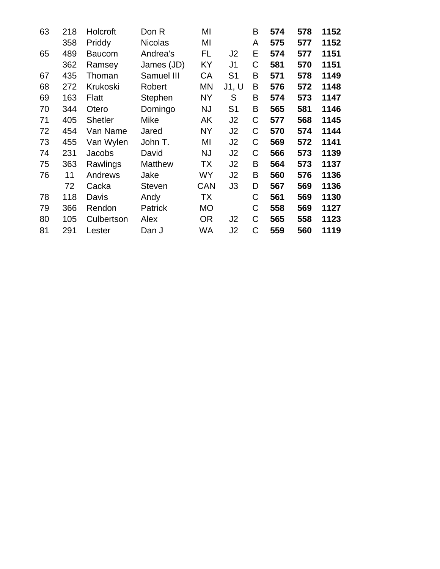| 63 | 218 | Holcroft       | Don R          | MI         |                | B | 574 | 578 | 1152 |
|----|-----|----------------|----------------|------------|----------------|---|-----|-----|------|
|    | 358 | Priddy         | <b>Nicolas</b> | MI         |                | A | 575 | 577 | 1152 |
| 65 | 489 | <b>Baucom</b>  | Andrea's       | FL         | J2             | Е | 574 | 577 | 1151 |
|    | 362 | Ramsey         | James (JD)     | KY         | J1             | C | 581 | 570 | 1151 |
| 67 | 435 | Thoman         | Samuel III     | СA         | S1             | B | 571 | 578 | 1149 |
| 68 | 272 | Krukoski       | Robert         | ΜN         | J1, U          | B | 576 | 572 | 1148 |
| 69 | 163 | <b>Flatt</b>   | Stephen        | <b>NY</b>  | S              | B | 574 | 573 | 1147 |
| 70 | 344 | Otero          | Domingo        | <b>NJ</b>  | S <sub>1</sub> | B | 565 | 581 | 1146 |
| 71 | 405 | <b>Shetler</b> | Mike           | AΚ         | J2             | C | 577 | 568 | 1145 |
| 72 | 454 | Van Name       | Jared          | <b>NY</b>  | J2             | C | 570 | 574 | 1144 |
| 73 | 455 | Van Wylen      | John T.        | MI         | J2             | C | 569 | 572 | 1141 |
| 74 | 231 | Jacobs         | David          | NJ         | J2             | C | 566 | 573 | 1139 |
| 75 | 363 | Rawlings       | <b>Matthew</b> | ТX         | J2             | B | 564 | 573 | 1137 |
| 76 | 11  | Andrews        | Jake           | <b>WY</b>  | J2             | B | 560 | 576 | 1136 |
|    | 72  | Cacka          | <b>Steven</b>  | <b>CAN</b> | JЗ             | D | 567 | 569 | 1136 |
| 78 | 118 | Davis          | Andy           | ТX         |                | C | 561 | 569 | 1130 |
| 79 | 366 | Rendon         | Patrick        | <b>MO</b>  |                | C | 558 | 569 | 1127 |
| 80 | 105 | Culbertson     | Alex           | <b>OR</b>  | J <sub>2</sub> | C | 565 | 558 | 1123 |
| 81 | 291 | Lester         | Dan J          | WA         | J <sub>2</sub> | C | 559 | 560 | 1119 |
|    |     |                |                |            |                |   |     |     |      |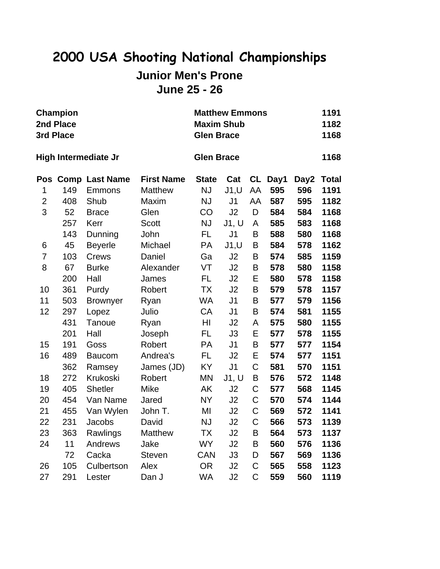### **2000 USA Shooting National Championships Junior Men's Prone June 25 - 26**

|                | <b>Champion</b><br>2nd Place<br>3rd Place |                       |                   | <b>Maxim Shub</b><br><b>Glen Brace</b> | <b>Matthew Emmons</b> |                |         |      | 1191<br>1182<br>1168 |
|----------------|-------------------------------------------|-----------------------|-------------------|----------------------------------------|-----------------------|----------------|---------|------|----------------------|
|                |                                           | High Intermediate Jr  |                   | <b>Glen Brace</b>                      |                       |                |         |      | 1168                 |
| Pos            |                                           | <b>Comp Last Name</b> | <b>First Name</b> | <b>State</b>                           | Cat                   |                | CL Day1 | Day2 | <b>Total</b>         |
| 1              | 149                                       | Emmons                | <b>Matthew</b>    | <b>NJ</b>                              | J1, U                 | AA             | 595     | 596  | 1191                 |
| $\overline{c}$ | 408                                       | Shub                  | Maxim             | <b>NJ</b>                              | J <sub>1</sub>        | AA             | 587     | 595  | 1182                 |
| 3              | 52                                        | <b>Brace</b>          | Glen              | CO                                     | J2                    | D              | 584     | 584  | 1168                 |
|                | 257                                       | Kerr                  | <b>Scott</b>      | NJ                                     | J1, U                 | A              | 585     | 583  | 1168                 |
|                | 143                                       | Dunning               | John              | FL.                                    | J <sub>1</sub>        | B              | 588     | 580  | 1168                 |
| 6              | 45                                        | <b>Beyerle</b>        | Michael           | PA                                     | J1, U                 | B              | 584     | 578  | 1162                 |
| $\overline{7}$ | 103                                       | <b>Crews</b>          | Daniel            | Ga                                     | J2                    | B              | 574     | 585  | 1159                 |
| 8              | 67                                        | <b>Burke</b>          | Alexander         | VT                                     | J2                    | B              | 578     | 580  | 1158                 |
|                | 200                                       | Hall                  | James             | <b>FL</b>                              | J2                    | E              | 580     | 578  | 1158                 |
| 10             | 361                                       | Purdy                 | Robert            | <b>TX</b>                              | J2                    | B              | 579     | 578  | 1157                 |
| 11             | 503                                       | <b>Brownyer</b>       | Ryan              | <b>WA</b>                              | J <sub>1</sub>        | B              | 577     | 579  | 1156                 |
| 12             | 297                                       | Lopez                 | Julio             | CA                                     | J <sub>1</sub>        | B              | 574     | 581  | 1155                 |
|                | 431                                       | Tanoue                | Ryan              | HI                                     | J2                    | А              | 575     | 580  | 1155                 |
|                | 201                                       | Hall                  | Joseph            | FL.                                    | J3                    | E              | 577     | 578  | 1155                 |
| 15             | 191                                       | Goss                  | Robert            | PA                                     | J <sub>1</sub>        | B              | 577     | 577  | 1154                 |
| 16             | 489                                       | <b>Baucom</b>         | Andrea's          | FL.                                    | J2                    | E              | 574     | 577  | 1151                 |
|                | 362                                       | Ramsey                | James (JD)        | KY                                     | J <sub>1</sub>        | C              | 581     | 570  | 1151                 |
| 18             | 272                                       | Krukoski              | Robert            | <b>MN</b>                              | J1, U                 | B              | 576     | 572  | 1148                 |
| 19             | 405                                       | <b>Shetler</b>        | <b>Mike</b>       | AK                                     | J2                    | C              | 577     | 568  | 1145                 |
| 20             | 454                                       | Van Name              | Jared             | <b>NY</b>                              | J2                    | $\mathsf C$    | 570     | 574  | 1144                 |
| 21             | 455                                       | Van Wylen             | John T.           | MI                                     | J2                    | $\mathsf C$    | 569     | 572  | 1141                 |
| 22             | 231                                       | Jacobs                | David             | <b>NJ</b>                              | J2                    | $\overline{C}$ | 566     | 573  | 1139                 |
| 23             | 363                                       | Rawlings              | Matthew           | <b>TX</b>                              | J2                    | B              | 564     | 573  | 1137                 |
| 24             | 11                                        | Andrews               | Jake              | <b>WY</b>                              | J2                    | B              | 560     | 576  | 1136                 |
|                | 72                                        | Cacka                 | <b>Steven</b>     | <b>CAN</b>                             | J3                    | D              | 567     | 569  | 1136                 |
| 26             | 105                                       | Culbertson            | Alex              | <b>OR</b>                              | J2                    | C              | 565     | 558  | 1123                 |
| 27             | 291                                       | Lester                | Dan J             | <b>WA</b>                              | J2                    | Ć              | 559     | 560  | 1119                 |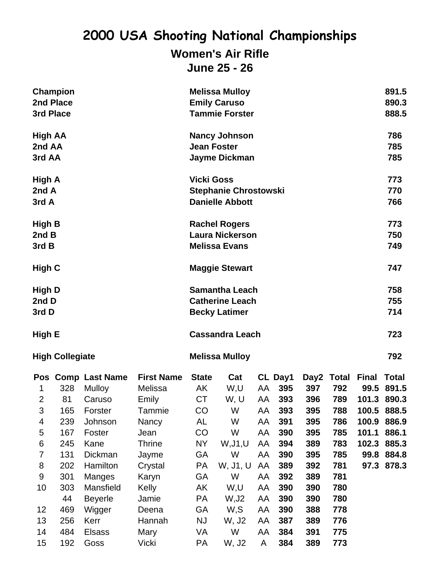#### **Women's Air Rifle June 25 - 26**

| 3rd Place                   | Champion<br>2nd Place  |                              |                              |                       | <b>Melissa Mulloy</b><br><b>Emily Caruso</b><br><b>Tammie Forster</b>   |          |                |             |              |                      | 891.5<br>890.3<br>888.5 |
|-----------------------------|------------------------|------------------------------|------------------------------|-----------------------|-------------------------------------------------------------------------|----------|----------------|-------------|--------------|----------------------|-------------------------|
| High AA<br>2nd AA<br>3rd AA |                        |                              |                              | <b>Jean Foster</b>    | <b>Nancy Johnson</b><br>Jayme Dickman                                   |          |                |             |              |                      | 786<br>785<br>785       |
| High A<br>2nd A<br>3rd A    |                        |                              |                              | <b>Vicki Goss</b>     | <b>Stephanie Chrostowski</b><br><b>Danielle Abbott</b>                  |          |                |             |              |                      | 773<br>770<br>766       |
| High B<br>2ndB              |                        |                              |                              |                       | <b>Rachel Rogers</b><br><b>Laura Nickerson</b>                          |          |                |             |              |                      | 773<br>750              |
| 3rd B                       |                        |                              |                              |                       | <b>Melissa Evans</b>                                                    |          |                |             |              |                      | 749                     |
| <b>High C</b>               |                        |                              |                              |                       | <b>Maggie Stewart</b>                                                   |          |                |             |              |                      | 747                     |
| High D<br>2nd D<br>3rd D    |                        |                              |                              |                       | <b>Samantha Leach</b><br><b>Catherine Leach</b><br><b>Becky Latimer</b> |          |                |             |              |                      | 758<br>755<br>714       |
| High E                      |                        |                              |                              |                       | <b>Cassandra Leach</b>                                                  |          |                |             |              |                      | 723                     |
|                             | <b>High Collegiate</b> |                              |                              | <b>Melissa Mulloy</b> |                                                                         |          |                |             |              |                      | 792                     |
|                             | 328                    | Pos Comp Last Name<br>Mulloy | <b>First Name</b><br>Melissa | <b>State</b><br>AK    | Cat                                                                     |          | CL Day1<br>395 | Day2<br>397 | Total<br>792 | <b>Final</b><br>99.5 | <b>Total</b><br>891.5   |
| 1<br>$\overline{2}$         | 81                     | Caruso                       | Emily                        | <b>CT</b>             | W,U<br>W, U                                                             | AA<br>AA | 393            | 396         | 789          | 101.3                | 890.3                   |
| 3                           | 165                    | Forster                      | Tammie                       | CO                    | W                                                                       | AA       | 393            | 395         | 788          | 100.5                | 888.5                   |
| 4                           | 239                    | Johnson                      | Nancy                        | AL                    | W                                                                       | AA       | 391            | 395         | 786          | 100.9                | 886.9                   |
| 5                           | 167                    | Foster                       | Jean                         | CO                    | W                                                                       | AA       | 390            | 395         | 785          | 101.1                | 886.1                   |
| 6                           | 245                    | Kane                         | <b>Thrine</b>                | NY.                   | W, J1, U                                                                | AA       | 394            | 389         | 783          | 102.3                | 885.3                   |
| $\overline{7}$              | 131                    | Dickman                      | Jayme                        | GA                    | W                                                                       | AA       | 390            | 395         | 785          |                      | 99.8 884.8              |
| 8                           | 202                    | Hamilton                     | Crystal                      | PA                    | W, J1, U                                                                | AA       | 389            | 392         | 781          | 97.3                 | 878.3                   |
| 9                           | 301                    | Manges                       | Karyn                        | GA                    | W                                                                       | AA       | 392            | 389         | 781          |                      |                         |
| 10                          | 303                    | Mansfield                    | Kelly                        | AK                    | W,U                                                                     | AA       | 390            | 390         | 780          |                      |                         |
|                             | 44                     | <b>Beyerle</b>               | Jamie                        | PA                    | W, J2                                                                   | AA       | 390            | 390         | 780          |                      |                         |
| 12                          | 469                    | Wigger                       | Deena                        | GA                    | W,S                                                                     | AA       | 390            | 388         | 778          |                      |                         |
| 13                          | 256                    | Kerr                         | Hannah                       | NJ                    | W, J2                                                                   | AA       | 387            | 389         | 776          |                      |                         |
| 14                          | 484                    | <b>Elsass</b>                | Mary                         | VA                    | W                                                                       | AA       | 384            | 391         | 775          |                      |                         |
| 15                          | 192                    | Goss                         | <b>Vicki</b>                 | PA                    | W, J2                                                                   | A        | 384            | 389         | 773          |                      |                         |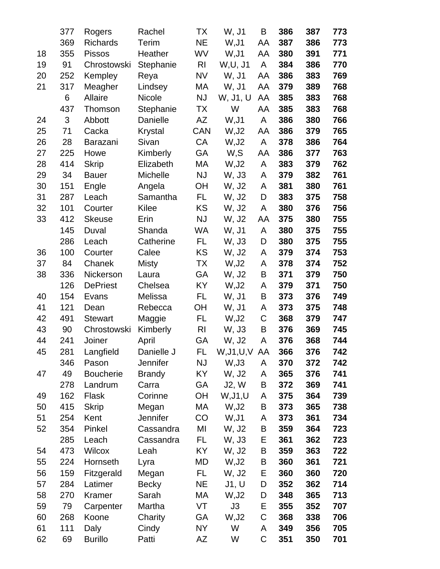|    | 377            | Rogers           | Rachel         | ТX             | W, J1       | B  | 386 | 387 | 773 |
|----|----------------|------------------|----------------|----------------|-------------|----|-----|-----|-----|
|    | 369            | <b>Richards</b>  | Terim          | <b>NE</b>      | W, J1       | AA | 387 | 386 | 773 |
| 18 | 355            | <b>Pissos</b>    | Heather        | WV             | W, J1       | AA | 380 | 391 | 771 |
| 19 | 91             | Chrostowski      | Stephanie      | R <sub>l</sub> | W, U, J1    | A  | 384 | 386 | 770 |
| 20 | 252            | Kempley          | Reya           | <b>NV</b>      | W, J1       | AA | 386 | 383 | 769 |
| 21 | 317            | Meagher          | Lindsey        | МA             | W, J1       | AA | 379 | 389 | 768 |
|    | 6              | Allaire          | <b>Nicole</b>  | <b>NJ</b>      | W, J1, U    | AA | 385 | 383 | 768 |
|    | 437            | Thomson          | Stephanie      | <b>TX</b>      | W           | AA | 385 | 383 | 768 |
| 24 | $\mathfrak{S}$ | Abbott           | Danielle       | AZ             | W, J1       | A  | 386 | 380 | 766 |
| 25 | 71             | Cacka            | <b>Krystal</b> | <b>CAN</b>     | W, J2       | AA | 386 | 379 | 765 |
| 26 | 28             | <b>Barazani</b>  | Sivan          | CA             | W, J2       | A  | 378 | 386 | 764 |
| 27 | 225            | Howe             | Kimberly       | <b>GA</b>      | W,S         | AA | 386 | 377 | 763 |
| 28 | 414            | <b>Skrip</b>     | Elizabeth      | МA             | W, J2       | A  | 383 | 379 | 762 |
| 29 | 34             | <b>Bauer</b>     | Michelle       | <b>NJ</b>      | W, J3       | A  | 379 | 382 | 761 |
| 30 | 151            | Engle            | Angela         | <b>OH</b>      | W, J2       | A  | 381 | 380 | 761 |
| 31 | 287            | Leach            | Samantha       | FL.            | W, J2       | D  | 383 | 375 | 758 |
| 32 | 101            | Courter          | <b>Kilee</b>   | KS             | W, J2       | A  | 380 | 376 | 756 |
| 33 | 412            | <b>Skeuse</b>    | Erin           | <b>NJ</b>      | W, J2       | AA | 375 | 380 | 755 |
|    | 145            | Duval            | Shanda         | WA             | W, J1       | A  | 380 | 375 | 755 |
|    | 286            | Leach            | Catherine      | FL             | W, J3       | D  | 380 | 375 | 755 |
| 36 | 100            | Courter          | Calee          | KS             | W, J2       | A  | 379 | 374 | 753 |
| 37 | 84             | Chanek           | <b>Misty</b>   | TX             | W, J2       | A  | 378 | 374 | 752 |
| 38 | 336            | Nickerson        | Laura          | GA             | W, J2       | B  | 371 | 379 | 750 |
|    | 126            | <b>DePriest</b>  | Chelsea        | KY             | W, J2       | A  | 379 | 371 | 750 |
| 40 | 154            | Evans            | Melissa        | <b>FL</b>      | W, J1       | B  | 373 | 376 | 749 |
| 41 | 121            | Dean             | Rebecca        | <b>OH</b>      | W, J1       | A  | 373 | 375 | 748 |
| 42 | 491            | <b>Stewart</b>   | Maggie         | FL             | W, J2       | C  | 368 | 379 | 747 |
| 43 | 90             | Chrostowski      | Kimberly       | <b>RI</b>      | W, J3       | B  | 376 | 369 | 745 |
| 44 | 241            | Joiner           | April          | GA             | W, J2       | A  | 376 | 368 | 744 |
| 45 | 281            | Langfield        | Danielle J     | FL             | W,J1,U,V AA |    | 366 | 376 | 742 |
|    | 346            | Pason            | Jennifer       | <b>NJ</b>      | W, J3       | A  | 370 | 372 | 742 |
| 47 | 49             | <b>Boucherie</b> | <b>Brandy</b>  | KY.            | W, J2       | A  | 365 | 376 | 741 |
|    | 278            | Landrum          | Carra          | GA             | J2, W       | В  | 372 | 369 | 741 |
| 49 | 162            | Flask            | Corinne        | <b>OH</b>      | W, J1, U    | A  | 375 | 364 | 739 |
| 50 | 415            | <b>Skrip</b>     | Megan          | МA             | W, J2       | B  | 373 | 365 | 738 |
| 51 | 254            | Kent             | Jennifer       | CO             | W,J1        | A  | 373 | 361 | 734 |
| 52 | 354            | Pinkel           | Cassandra      | MI             | W, J2       | B  | 359 | 364 | 723 |
|    | 285            | Leach            | Cassandra      | FL.            | W, J3       | Е  | 361 | 362 | 723 |
| 54 | 473            | Wilcox           | Leah           | KY             | W, J2       | B  | 359 | 363 | 722 |
| 55 | 224            | Hornseth         | Lyra           | MD             | W, J2       | Β  | 360 | 361 | 721 |
| 56 | 159            | Fitzgerald       | Megan          | FL.            | W, J2       | Е  | 360 | 360 | 720 |
| 57 | 284            | Latimer          | <b>Becky</b>   | <b>NE</b>      | J1, U       | D  | 352 | 362 | 714 |
| 58 | 270            | Kramer           | Sarah          | МA<br>VT       | W, J2       | D  | 348 | 365 | 713 |
| 59 | 79             | Carpenter        | Martha         |                | J3          | Е  | 355 | 352 | 707 |
| 60 | 268            | Koone            | Charity        | GA             | W, J2<br>W  | С  | 368 | 338 | 706 |
| 61 | 111            | Daly             | Cindy          | <b>NY</b>      |             | A  | 349 | 356 | 705 |
| 62 | 69             | <b>Burillo</b>   | Patti          | AZ             | W           | С  | 351 | 350 | 701 |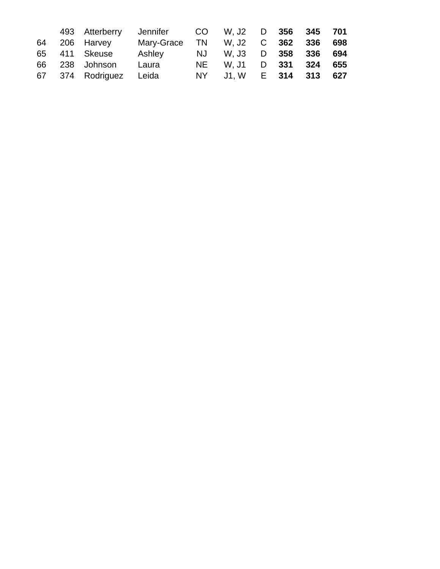|  | 493 Atterberry         | Jennifer CO W, J2 D 356 345 701   |                        |  |  |
|--|------------------------|-----------------------------------|------------------------|--|--|
|  | 64 206 Harvey          | Mary-Grace TN W, J2 C 362 336 698 |                        |  |  |
|  | 65 411 Skeuse          | Ashley                            | NJ W, J3 D 358 336 694 |  |  |
|  | 66 238 Johnson Laura   |                                   | NE W. J1 D 331 324 655 |  |  |
|  | 67 374 Rodriguez Leida |                                   | NY J1, W E 314 313 627 |  |  |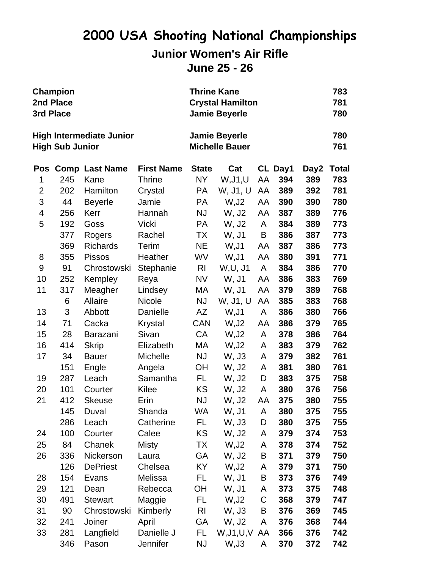### **2000 USA Shooting National Championships Junior Women's Air Rifle June 25 - 26**

| 3rd Place      | <b>Champion</b><br>2nd Place |                                 |                   | <b>Thrine Kane</b><br><b>Crystal Hamilton</b><br><b>Jamie Beyerle</b> |                                               | 783<br>781<br>780 |         |      |              |
|----------------|------------------------------|---------------------------------|-------------------|-----------------------------------------------------------------------|-----------------------------------------------|-------------------|---------|------|--------------|
|                | <b>High Sub Junior</b>       | <b>High Intermediate Junior</b> |                   |                                                                       | <b>Jamie Beyerle</b><br><b>Michelle Bauer</b> |                   |         |      | 780<br>761   |
| Pos            |                              | <b>Comp Last Name</b>           | <b>First Name</b> | <b>State</b>                                                          | Cat                                           |                   | CL Day1 | Day2 | <b>Total</b> |
| 1              | 245                          | Kane                            | <b>Thrine</b>     | NY                                                                    | W, J1, U                                      | AA                | 394     | 389  | 783          |
| $\overline{2}$ | 202                          | Hamilton                        | Crystal           | <b>PA</b>                                                             | W, J1, U                                      | AA                | 389     | 392  | 781          |
| 3              | 44                           | <b>Beyerle</b>                  | Jamie             | <b>PA</b>                                                             | W, J2                                         | AA                | 390     | 390  | 780          |
| 4              | 256                          | Kerr                            | Hannah            | <b>NJ</b>                                                             | W, J2                                         | AA                | 387     | 389  | 776          |
| 5              | 192                          | Goss                            | Vicki             | PA                                                                    | W, J2                                         | A                 | 384     | 389  | 773          |
|                | 377                          | Rogers                          | Rachel            | ТX                                                                    | W, J1                                         | Β                 | 386     | 387  | 773          |
|                | 369                          | <b>Richards</b>                 | Terim             | <b>NE</b>                                                             | W, J1                                         | AA                | 387     | 386  | 773          |
| 8              | 355                          | <b>Pissos</b>                   | Heather           | WV                                                                    | W, J1                                         | AA                | 380     | 391  | 771          |
| 9              | 91                           | Chrostowski                     | Stephanie         | R <sub>l</sub>                                                        | W, U, J1                                      | A                 | 384     | 386  | 770          |
| 10             | 252                          | Kempley                         | Reya              | <b>NV</b>                                                             | W, J1                                         | AA                | 386     | 383  | 769          |
| 11             | 317                          | Meagher                         | Lindsey           | МA                                                                    | W, J1                                         | AA                | 379     | 389  | 768          |
|                | 6                            | Allaire                         | <b>Nicole</b>     | <b>NJ</b>                                                             | W, J1, U                                      | AA                | 385     | 383  | 768          |
| 13             | 3                            | Abbott                          | Danielle          | AZ                                                                    | W, J1                                         | A                 | 386     | 380  | 766          |
| 14             | 71                           | Cacka                           | Krystal           | <b>CAN</b>                                                            | W, J2                                         | AA                | 386     | 379  | 765          |
| 15             | 28                           | <b>Barazani</b>                 | Sivan             | CA                                                                    | W, J2                                         | A                 | 378     | 386  | 764          |
| 16             | 414                          | <b>Skrip</b>                    | Elizabeth         | МA                                                                    | W, J2                                         | A                 | 383     | 379  | 762          |
| 17             | 34                           | <b>Bauer</b>                    | Michelle          | <b>NJ</b>                                                             | W, J3                                         | A                 | 379     | 382  | 761          |
|                | 151                          | Engle                           | Angela            | <b>OH</b>                                                             | W, J2                                         | A                 | 381     | 380  | 761          |
| 19             | 287                          | Leach                           | Samantha          | FL.                                                                   | W, J2                                         | D                 | 383     | 375  | 758          |
| 20             | 101                          | Courter                         | Kilee             | KS                                                                    | W, J2                                         | A                 | 380     | 376  | 756          |
| 21             | 412                          | <b>Skeuse</b>                   | Erin              | <b>NJ</b>                                                             | W, J2                                         | AA                | 375     | 380  | 755          |
|                | 145                          | Duval                           | Shanda            | WA                                                                    | W, J1                                         | A                 | 380     | 375  | 755          |
|                | 286                          | Leach                           | Catherine         | FL.                                                                   | W, J3                                         | D                 | 380     | 375  | 755          |
| 24             | 100                          | Courter                         | Calee             | KS                                                                    | W, J2                                         | A                 | 379     | 374  | 753          |
| 25             | 84                           | Chanek                          | Misty             | TX                                                                    | W, J2                                         | A                 | 378     | 374  | 752          |
| 26             | 336                          | Nickerson                       | Laura             | GA                                                                    | W, J2                                         | Β                 | 371     | 379  | 750          |
|                | 126                          | <b>DePriest</b>                 | Chelsea           | KY.                                                                   | W, J2                                         | A                 | 379     | 371  | 750          |
| 28             | 154                          | Evans                           | Melissa           | FL.                                                                   | W, J1                                         | В                 | 373     | 376  | 749          |
| 29             | 121                          | Dean                            | Rebecca           | ОH                                                                    | W, J1                                         | A                 | 373     | 375  | 748          |
| 30             | 491                          | <b>Stewart</b>                  | Maggie            | FL.                                                                   | W, J2                                         | C                 | 368     | 379  | 747          |
| 31             | 90                           | Chrostowski                     | Kimberly          | R <sub>l</sub>                                                        | W, J3                                         | В                 | 376     | 369  | 745          |
| 32             | 241                          | Joiner                          | April             | GA                                                                    | W, J2                                         | A                 | 376     | 368  | 744          |
| 33             | 281                          | Langfield                       | Danielle J        | FL.                                                                   | W,J1,U,V AA                                   |                   | 366     | 376  | 742          |
|                | 346                          | Pason                           | Jennifer          | <b>NJ</b>                                                             | W, J3                                         | A                 | 370     | 372  | 742          |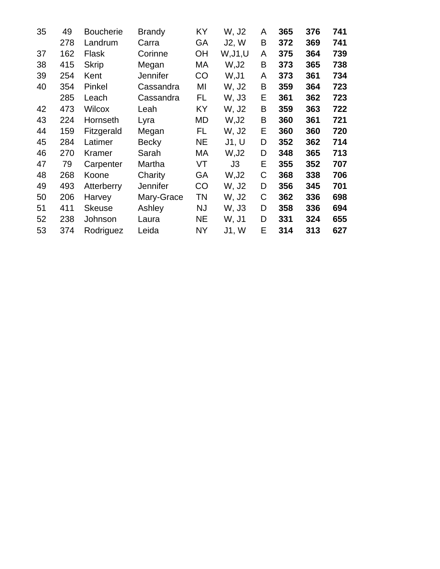| 35 | 49  | <b>Boucherie</b> | <b>Brandy</b>   | KY        | W, J2    | A | 365 | 376 | 741 |
|----|-----|------------------|-----------------|-----------|----------|---|-----|-----|-----|
|    | 278 | Landrum          | Carra           | GA        | J2, W    | B | 372 | 369 | 741 |
| 37 | 162 | Flask            | Corinne         | ОH        | W, J1, U | A | 375 | 364 | 739 |
| 38 | 415 | <b>Skrip</b>     | Megan           | МA        | W, J2    | B | 373 | 365 | 738 |
| 39 | 254 | Kent             | <b>Jennifer</b> | CO        | W, J1    | A | 373 | 361 | 734 |
| 40 | 354 | Pinkel           | Cassandra       | ΜI        | W, J2    | Β | 359 | 364 | 723 |
|    | 285 | Leach            | Cassandra       | FL.       | W, J3    | Е | 361 | 362 | 723 |
| 42 | 473 | <b>Wilcox</b>    | Leah            | KY.       | W, J2    | B | 359 | 363 | 722 |
| 43 | 224 | Hornseth         | Lyra            | MD        | W, J2    | Β | 360 | 361 | 721 |
| 44 | 159 | Fitzgerald       | Megan           | FL        | W, J2    | Е | 360 | 360 | 720 |
| 45 | 284 | Latimer          | <b>Becky</b>    | NE.       | J1, U    | D | 352 | 362 | 714 |
| 46 | 270 | Kramer           | Sarah           | МA        | W, J2    | D | 348 | 365 | 713 |
| 47 | 79  | Carpenter        | Martha          | VT        | J3       | Е | 355 | 352 | 707 |
| 48 | 268 | Koone            | Charity         | GA        | W, J2    | C | 368 | 338 | 706 |
| 49 | 493 | Atterberry       | <b>Jennifer</b> | CO        | W, J2    | D | 356 | 345 | 701 |
| 50 | 206 | Harvey           | Mary-Grace      | TN        | W, J2    | С | 362 | 336 | 698 |
| 51 | 411 | <b>Skeuse</b>    | Ashley          | NJ        | W, J3    | D | 358 | 336 | 694 |
| 52 | 238 | Johnson          | Laura           | NE.       | W, J1    | D | 331 | 324 | 655 |
| 53 | 374 | Rodriguez        | Leida           | <b>NY</b> | J1, W    | Е | 314 | 313 | 627 |
|    |     |                  |                 |           |          |   |     |     |     |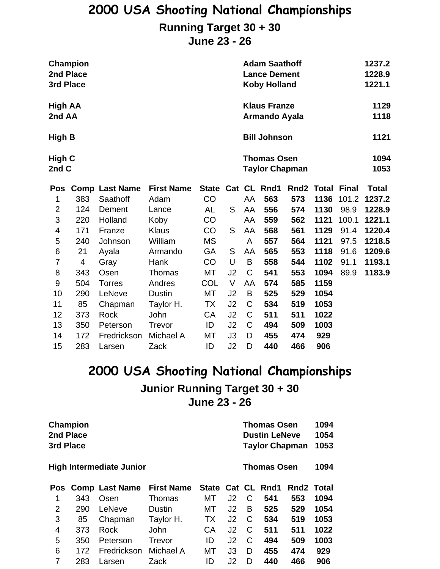#### **Running Target 30 + 30**

**June 23 - 26**

| 2nd Place<br>3rd Place        | Champion |                       |                   |                   |        |             | <b>Adam Saathoff</b><br><b>Lance Dement</b><br><b>Koby Holland</b> |            | 1237.2<br>1228.9<br>1221.1 |              |              |  |
|-------------------------------|----------|-----------------------|-------------------|-------------------|--------|-------------|--------------------------------------------------------------------|------------|----------------------------|--------------|--------------|--|
| High AA                       |          |                       |                   |                   |        |             | <b>Klaus Franze</b>                                                |            | 1129                       |              |              |  |
| 2nd AA                        |          |                       |                   |                   |        |             | <b>Armando Ayala</b>                                               |            |                            |              | 1118         |  |
| <b>Bill Johnson</b><br>High B |          |                       |                   |                   |        |             |                                                                    | 1121       |                            |              |              |  |
|                               | High C   |                       |                   |                   |        |             | <b>Thomas Osen</b>                                                 |            |                            |              |              |  |
| 2nd C                         |          |                       |                   |                   |        |             | <b>Taylor Chapman</b>                                              |            |                            |              | 1053         |  |
| <b>Pos</b>                    |          | <b>Comp Last Name</b> | <b>First Name</b> | State Cat CL Rnd1 |        |             |                                                                    | Rnd2 Total |                            | <b>Final</b> | <b>Total</b> |  |
| 1                             | 383      | Saathoff              | Adam              | CO                |        | AA          | 563                                                                | 573        | 1136                       | 101.2        | 1237.2       |  |
| $\overline{2}$                | 124      | Dement                | Lance             | AL                | S      | AA          | 556                                                                | 574        | 1130                       | 98.9         | 1228.9       |  |
| 3                             | 220      | Holland               | Koby              | CO                |        | AA          | 559                                                                | 562        | 1121                       | 100.1        | 1221.1       |  |
| 4                             | 171      | Franze                | <b>Klaus</b>      | CO                | S      | AA          | 568                                                                | 561        | 1129                       | 91.4         | 1220.4       |  |
| 5                             | 240      | Johnson               | William           | <b>MS</b>         |        | A           | 557                                                                | 564        | 1121                       | 97.5         | 1218.5       |  |
| $\,6$                         | 21       | Ayala                 | Armando           | GA                | S      | AA          | 565                                                                | 553        | 1118                       | 91.6         | 1209.6       |  |
| $\overline{7}$                | 4        | Gray                  | Hank              | CO                | U      | B           | 558                                                                | 544        | 1102                       | 91.1         | 1193.1       |  |
| 8                             | 343      | Osen                  | Thomas            | <b>MT</b>         | J2     | $\mathsf C$ | 541                                                                | 553        | 1094                       | 89.9         | 1183.9       |  |
| $\boldsymbol{9}$              | 504      | <b>Torres</b>         | Andres            | COL               | $\vee$ | AA          | 574                                                                | 585        | 1159                       |              |              |  |
| 10                            | 290      | LeNeve                | <b>Dustin</b>     | MT                | J2     | B           | 525                                                                | 529        | 1054                       |              |              |  |
| 11                            | 85       | Chapman               | Taylor H.         | TX                | J2     | $\mathsf C$ | 534                                                                | 519        | 1053                       |              |              |  |
| 12                            | 373      | Rock                  | John              | CA                | J2     | $\mathsf C$ | 511                                                                | 511        | 1022                       |              |              |  |
| 13                            | 350      | Peterson              | Trevor            | ID                | J2     | $\mathsf C$ | 494                                                                | 509        | 1003                       |              |              |  |
| 14                            | 172      | Fredrickson           | Michael A         | MT                | J3     | D           | 455                                                                | 474        | 929                        |              |              |  |
| 15                            | 283      | Larsen                | Zack              | ID                | J2     | D           | 440                                                                | 466        | 906                        |              |              |  |

### **2000 USA Shooting National Championships Junior Running Target 30 + 30 June 23 - 26**

|   | Champion<br>2nd Place<br>3rd Place<br><b>High Intermediate Junior</b> |                    |                   |                   |                |   |                    | <b>Thomas Osen</b><br><b>Dustin LeNeve</b><br><b>Taylor Chapman</b> |      |  |  |  |
|---|-----------------------------------------------------------------------|--------------------|-------------------|-------------------|----------------|---|--------------------|---------------------------------------------------------------------|------|--|--|--|
|   |                                                                       |                    |                   |                   |                |   | <b>Thomas Osen</b> |                                                                     | 1094 |  |  |  |
|   |                                                                       | Pos Comp Last Name | <b>First Name</b> | State Cat CL Rnd1 |                |   |                    | Rnd <sub>2</sub> Total                                              |      |  |  |  |
| 1 | 343                                                                   | Osen               | Thomas            | МT                | J <sub>2</sub> | C | 541                | 553                                                                 | 1094 |  |  |  |
| 2 | 290                                                                   | LeNeve             | Dustin            | МT                | J <sub>2</sub> | в | 525                | 529                                                                 | 1054 |  |  |  |
| 3 | 85                                                                    | Chapman            | Taylor H.         | <b>TX</b>         | J <sub>2</sub> | C | 534                | 519                                                                 | 1053 |  |  |  |
| 4 | 373                                                                   | Rock               | John              | CA                | J2             | C | 511                | 511                                                                 | 1022 |  |  |  |
| 5 | 350                                                                   | Peterson           | Trevor            | ID                | J <sub>2</sub> | С | 494                | 509                                                                 | 1003 |  |  |  |
| 6 | 172                                                                   | Fredrickson        | Michael A         | МT                | J3             | D | 455                | 474                                                                 | 929  |  |  |  |
| 7 | 283                                                                   | Larsen             | Zack              | ID                | J2             | D | 440                | 466                                                                 | 906  |  |  |  |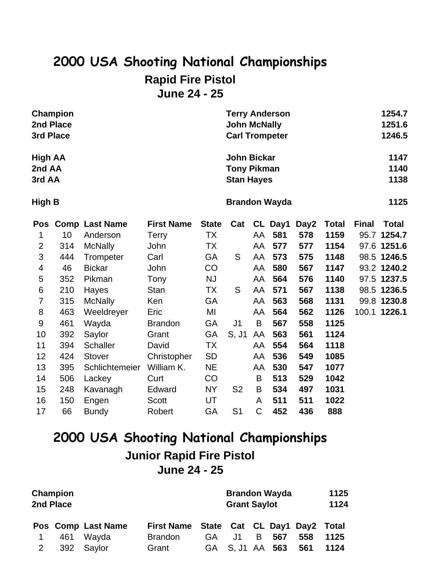## **2000 USA Shooting National Championships Rapid Fire Pistol June 24 - 25**

| Champion       | <b>Terry Anderson</b> | 1254.7 |
|----------------|-----------------------|--------|
| 2nd Place      | <b>John McNally</b>   | 1251.6 |
| 3rd Place      | <b>Carl Trompeter</b> | 1246.5 |
| <b>High AA</b> | <b>John Bickar</b>    | 1147   |
| 2nd AA         | <b>Tony Pikman</b>    | 1140   |
| 3rd AA         | <b>Stan Hayes</b>     | 1138   |
| High B         | <b>Brandon Wayda</b>  | 1125   |

| Pos            |     | <b>Comp Last Name</b> | <b>First Name</b> | <b>State</b> | Cat            |             | CL Day1 | Day2 | <b>Total</b> | <b>Final</b> | <b>Total</b> |
|----------------|-----|-----------------------|-------------------|--------------|----------------|-------------|---------|------|--------------|--------------|--------------|
|                | 10  | Anderson              | <b>Terry</b>      | ТX           |                | AA          | 581     | 578  | 1159         |              | 95.7 1254.7  |
| $\overline{2}$ | 314 | <b>McNally</b>        | John              | ТX           |                | AA          | 577     | 577  | 1154         |              | 97.6 1251.6  |
| 3              | 444 | Trompeter             | Carl              | GA           | S              | AA          | 573     | 575  | 1148         |              | 98.5 1246.5  |
| 4              | 46  | <b>Bickar</b>         | John              | CO           |                | AA          | 580     | 567  | 1147         |              | 93.2 1240.2  |
| 5              | 352 | Pikman                | Tony              | NJ           |                | AA          | 564     | 576  | 1140         |              | 97.5 1237.5  |
| 6              | 210 | Hayes                 | <b>Stan</b>       | ТX           | S              | AA          | 571     | 567  | 1138         |              | 98.5 1236.5  |
| 7              | 315 | <b>McNally</b>        | Ken               | GA           |                | AA          | 563     | 568  | 1131         |              | 99.8 1230.8  |
| 8              | 463 | Weeldreyer            | Eric              | MI           |                | AA          | 564     | 562  | 1126         |              | 100.1 1226.1 |
| 9              | 461 | Wayda                 | <b>Brandon</b>    | GA           | J1             | B           | 567     | 558  | 1125         |              |              |
| 10             | 392 | Saylor                | Grant             | GA           | S, J1          | AA          | 563     | 561  | 1124         |              |              |
| 11             | 394 | <b>Schaller</b>       | David             | <b>TX</b>    |                | AA          | 554     | 564  | 1118         |              |              |
| 12             | 424 | <b>Stover</b>         | Christopher       | <b>SD</b>    |                | AA          | 536     | 549  | 1085         |              |              |
| 13             | 395 | Schlichtemeier        | William K.        | <b>NE</b>    |                | AA          | 530     | 547  | 1077         |              |              |
| 14             | 506 | Lackey                | Curt              | CO           |                | B           | 513     | 529  | 1042         |              |              |
| 15             | 248 | Kavanagh              | Edward            | <b>NY</b>    | S <sub>2</sub> | B           | 534     | 497  | 1031         |              |              |
| 16             | 150 | Engen                 | <b>Scott</b>      | UT           |                | A           | 511     | 511  | 1022         |              |              |
| 17             | 66  | <b>Bundy</b>          | Robert            | GA           | S <sub>1</sub> | $\mathsf C$ | 452     | 436  | 888          |              |              |

## **2000 USA Shooting National Championships Junior Rapid Fire Pistol June 24 - 25**

|   | Champion<br>2nd Place |                    |                                         |     | <b>Brandon Wayda</b><br><b>Grant Saylot</b> |    |     |     |      |  |  |
|---|-----------------------|--------------------|-----------------------------------------|-----|---------------------------------------------|----|-----|-----|------|--|--|
|   |                       | Pos Comp Last Name | First Name State Cat CL Day1 Day2 Total |     |                                             |    |     |     |      |  |  |
|   | 461                   | Wayda              | <b>Brandon</b>                          | GA. | J1                                          | B. | 567 | 558 | 1125 |  |  |
| 2 | 392                   | Saylor             | Grant                                   |     | GA S, J1 AA 563                             |    |     | 561 | 1124 |  |  |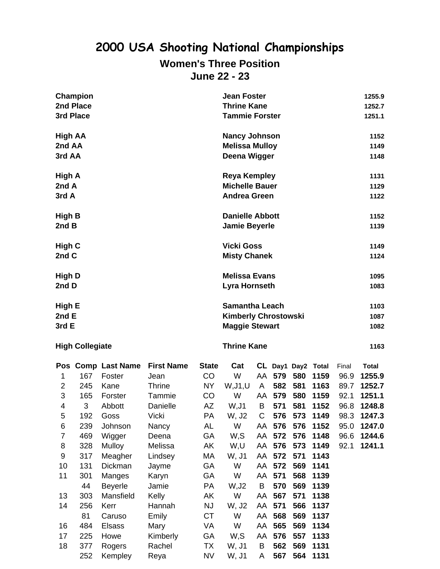#### **Women's Three Position June 22 - 23**

| Champion       | <b>Jean Foster</b>          | 1255.9 |
|----------------|-----------------------------|--------|
| 2nd Place      | <b>Thrine Kane</b>          | 1252.7 |
| 3rd Place      | <b>Tammie Forster</b>       | 1251.1 |
| <b>High AA</b> | <b>Nancy Johnson</b>        | 1152   |
| 2nd AA         | <b>Melissa Mulloy</b>       | 1149   |
| 3rd AA         | Deena Wigger                | 1148   |
| <b>High A</b>  | <b>Reya Kempley</b>         | 1131   |
| 2nd A          | <b>Michelle Bauer</b>       | 1129   |
| 3rd A          | <b>Andrea Green</b>         | 1122   |
| <b>High B</b>  | <b>Danielle Abbott</b>      | 1152   |
| 2nd B          | <b>Jamie Beyerle</b>        | 1139   |
| <b>High C</b>  | <b>Vicki Goss</b>           | 1149   |
| 2nd C          | <b>Misty Chanek</b>         | 1124   |
| <b>High D</b>  | <b>Melissa Evans</b>        | 1095   |
| 2nd D          | Lyra Hornseth               | 1083   |
| High E         | <b>Samantha Leach</b>       | 1103   |
| 2nd E          | <b>Kimberly Chrostowski</b> | 1087   |
| 3rd E          | <b>Maggie Stewart</b>       | 1082   |
|                |                             |        |

#### **High Collegiate Thrine Kane 1163**

| Pos |     | <b>Comp Last Name</b> | <b>First Name</b> | <b>State</b> | Cat      |    |        |     | CL Day1 Day2 Total | Final | <b>Total</b> |
|-----|-----|-----------------------|-------------------|--------------|----------|----|--------|-----|--------------------|-------|--------------|
|     | 167 | Foster                | Jean              | CO           | W        | AA | 579    | 580 | 1159               | 96.9  | 1255.9       |
| 2   | 245 | Kane                  | <b>Thrine</b>     | <b>NY</b>    | W, J1, U | A  | 582    | 581 | 1163               | 89.7  | 1252.7       |
| 3   | 165 | Forster               | Tammie            | CO           | W        | AA | 579    | 580 | 1159               | 92.1  | 1251.1       |
| 4   | 3   | Abbott                | Danielle          | AZ           | W, J1    | B  | 571    | 581 | 1152               | 96.8  | 1248.8       |
| 5   | 192 | Goss                  | Vicki             | <b>PA</b>    | W, J2    | C  | 576    | 573 | 1149               | 98.3  | 1247.3       |
| 6   | 239 | Johnson               | Nancy             | AL           | W        | AA | 576    | 576 | 1152               | 95.0  | 1247.0       |
| 7   | 469 | Wigger                | Deena             | GA           | W,S      |    | AA 572 | 576 | 1148               | 96.6  | 1244.6       |
| 8   | 328 | Mulloy                | Melissa           | AK           | W,U      | AA | 576    | 573 | 1149               | 92.1  | 1241.1       |
| 9   | 317 | Meagher               | Lindsey           | МA           | W, J1    |    | AA 572 | 571 | 1143               |       |              |
| 10  | 131 | Dickman               | Jayme             | GA           | W        | AA | 572    | 569 | 1141               |       |              |
| 11  | 301 | Manges                | Karyn             | GA           | W        | AA | 571    | 568 | 1139               |       |              |
|     | 44  | <b>Beyerle</b>        | Jamie             | <b>PA</b>    | W,J2     | B  | 570    | 569 | 1139               |       |              |
| 13  | 303 | Mansfield             | Kelly             | AK           | W        | AA | 567    | 571 | 1138               |       |              |
| 14  | 256 | Kerr                  | Hannah            | <b>NJ</b>    | W, J2    | AA | 571    | 566 | 1137               |       |              |
|     | 81  | Caruso                | Emily             | <b>CT</b>    | W        | AA | 568    | 569 | 1137               |       |              |
| 16  | 484 | <b>Elsass</b>         | Mary              | VA           | W        | AA | 565    | 569 | 1134               |       |              |
| 17  | 225 | Howe                  | Kimberly          | GA           | W,S      | AA | 576    | 557 | 1133               |       |              |
| 18  | 377 | Rogers                | Rachel            | TX           | W, J1    | B  | 562    | 569 | 1131               |       |              |
|     | 252 | Kempley               | Reya              | <b>NV</b>    | W, J1    | A  | 567    | 564 | 1131               |       |              |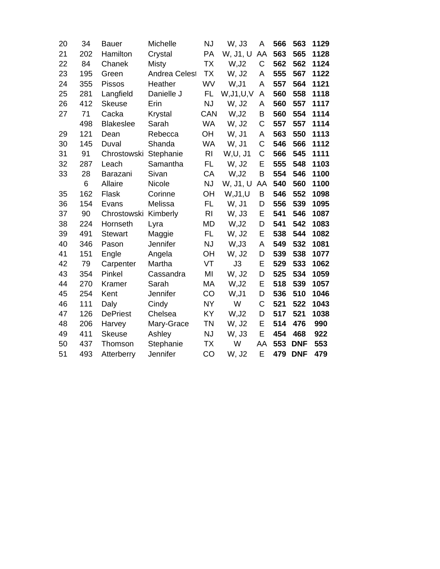| 20 | 34  | <b>Bauer</b>     | Michelle             | <b>NJ</b>      | W, J3       | A  | 566 | 563        | 1129 |
|----|-----|------------------|----------------------|----------------|-------------|----|-----|------------|------|
| 21 | 202 | Hamilton         | Crystal              | PA             | W, J1, U    | AA | 563 | 565        | 1128 |
| 22 | 84  | Chanek           | Misty                | <b>TX</b>      | W, J2       | C  | 562 | 562        | 1124 |
| 23 | 195 | Green            | <b>Andrea Celest</b> | <b>TX</b>      | W, J2       | A  | 555 | 567        | 1122 |
| 24 | 355 | <b>Pissos</b>    | Heather              | WV             | W, J1       | A  | 557 | 564        | 1121 |
| 25 | 281 | Langfield        | Danielle J           | <b>FL</b>      | W, J1, U, V | A  | 560 | 558        | 1118 |
| 26 | 412 | <b>Skeuse</b>    | Erin                 | <b>NJ</b>      | W, J2       | А  | 560 | 557        | 1117 |
| 27 | 71  | Cacka            | <b>Krystal</b>       | CAN            | W, J2       | B  | 560 | 554        | 1114 |
|    | 498 | <b>Blakeslee</b> | Sarah                | <b>WA</b>      | W, J2       | C  | 557 | 557        | 1114 |
| 29 | 121 | Dean             | Rebecca              | OH             | W, J1       | A  | 563 | 550        | 1113 |
| 30 | 145 | Duval            | Shanda               | <b>WA</b>      | W, J1       | C  | 546 | 566        | 1112 |
| 31 | 91  | Chrostowski      | Stephanie            | R <sub>l</sub> | W, U, J1    | C  | 566 | 545        | 1111 |
| 32 | 287 | Leach            | Samantha             | FL             | W, J2       | E  | 555 | 548        | 1103 |
| 33 | 28  | Barazani         | Sivan                | CA             | W, J2       | B  | 554 | 546        | 1100 |
|    | 6   | Allaire          | Nicole               | <b>NJ</b>      | W, J1, U    | AA | 540 | 560        | 1100 |
| 35 | 162 | Flask            | Corinne              | OH             | W, J1, U    | B  | 546 | 552        | 1098 |
| 36 | 154 | Evans            | Melissa              | FL             | W, J1       | D  | 556 | 539        | 1095 |
| 37 | 90  | Chrostowski      | Kimberly             | R <sub>l</sub> | W, J3       | Ε  | 541 | 546        | 1087 |
| 38 | 224 | Hornseth         | Lyra                 | <b>MD</b>      | W, J2       | D  | 541 | 542        | 1083 |
| 39 | 491 | <b>Stewart</b>   | Maggie               | FL             | W, J2       | Ε  | 538 | 544        | 1082 |
| 40 | 346 | Pason            | Jennifer             | <b>NJ</b>      | W, J3       | Α  | 549 | 532        | 1081 |
| 41 | 151 | Engle            | Angela               | OH             | W, J2       | D  | 539 | 538        | 1077 |
| 42 | 79  | Carpenter        | Martha               | VT             | J3          | Ε  | 529 | 533        | 1062 |
| 43 | 354 | Pinkel           | Cassandra            | MI             | W, J2       | D  | 525 | 534        | 1059 |
| 44 | 270 | Kramer           | Sarah                | MA             | W, J2       | E  | 518 | 539        | 1057 |
| 45 | 254 | Kent             | Jennifer             | CO             | W, J1       | D  | 536 | 510        | 1046 |
| 46 | 111 | Daly             | Cindy                | <b>NY</b>      | W           | C  | 521 | 522        | 1043 |
| 47 | 126 | <b>DePriest</b>  | Chelsea              | KY             | W, J2       | D  | 517 | 521        | 1038 |
| 48 | 206 | Harvey           | Mary-Grace           | <b>TN</b>      | W, J2       | E  | 514 | 476        | 990  |
| 49 | 411 | <b>Skeuse</b>    | Ashley               | NJ             | W, J3       | E  | 454 | 468        | 922  |
| 50 | 437 | Thomson          | Stephanie            | <b>TX</b>      | W           | AA | 553 | <b>DNF</b> | 553  |
| 51 | 493 | Atterberry       | Jennifer             | CO             | W, J2       | E  | 479 | <b>DNF</b> | 479  |
|    |     |                  |                      |                |             |    |     |            |      |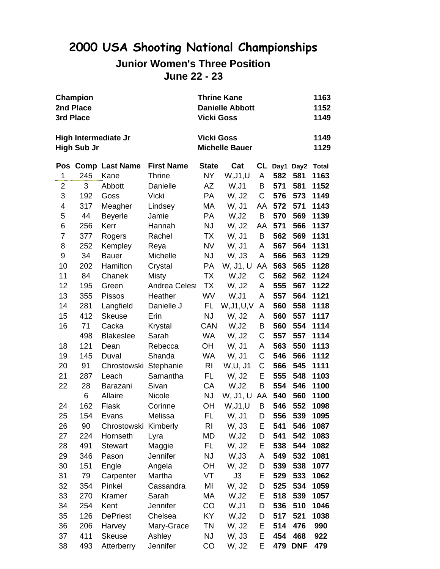#### **Junior Women's Three Position June 22 - 23**

|                | Champion           | <b>Thrine Kane</b><br>1163 |                      |                   |                        |             |     |            |              |
|----------------|--------------------|----------------------------|----------------------|-------------------|------------------------|-------------|-----|------------|--------------|
|                | 2nd Place          |                            |                      |                   | <b>Danielle Abbott</b> |             |     |            | 1152         |
|                | 3rd Place          |                            |                      | <b>Vicki Goss</b> |                        |             |     |            | 1149         |
|                |                    | High Intermediate Jr       |                      | <b>Vicki Goss</b> |                        |             |     |            | 1149         |
|                | <b>High Sub Jr</b> |                            |                      |                   | <b>Michelle Bauer</b>  |             |     |            | 1129         |
|                |                    | Pos Comp Last Name         | <b>First Name</b>    | <b>State</b>      | Cat                    | CL          |     | Day1 Day2  | <b>Total</b> |
| 1              | 245                | Kane                       | <b>Thrine</b>        | NY.               | W, J1, U               | A           | 582 | 581        | 1163         |
| $\overline{2}$ | 3                  | Abbott                     | Danielle             | AZ                | W, J1                  | B           | 571 | 581        | 1152         |
| 3              | 192                | Goss                       | <b>Vicki</b>         | PA                | W, J2                  | C           | 576 | 573        | 1149         |
| 4              | 317                | Meagher                    | Lindsey              | МA                | W, J1                  | AA          | 572 | 571        | 1143         |
| 5              | 44                 | <b>Beyerle</b>             | Jamie                | PA                | W, J2                  | B           | 570 | 569        | 1139         |
| 6              | 256                | Kerr                       | Hannah               | <b>NJ</b>         | W, J2                  | AA          | 571 | 566        | 1137         |
| $\overline{7}$ | 377                | Rogers                     | Rachel               | TX                | W, J1                  | $\sf B$     | 562 | 569        | 1131         |
| 8              | 252                | Kempley                    | Reya                 | NV                | W, J1                  | A           | 567 | 564        | 1131         |
| 9              | 34                 | <b>Bauer</b>               | Michelle             | <b>NJ</b>         | W, J3                  | A           | 566 | 563        | 1129         |
| 10             | 202                | Hamilton                   | Crystal              | PA                | W, J1, U               | AA          | 563 | 565        | 1128         |
| 11             | 84                 | Chanek                     | Misty                | TX                | W, J2                  | $\mathsf C$ | 562 | 562        | 1124         |
| 12             | 195                | Green                      | <b>Andrea Celest</b> | TX                | W, J2                  | A           | 555 | 567        | 1122         |
| 13             | 355                | <b>Pissos</b>              | Heather              | <b>WV</b>         | W,J1                   | A           | 557 | 564        | 1121         |
| 14             | 281                | Langfield                  | Danielle J           | FL.               | W, J1, U, V            | A           | 560 | 558        | 1118         |
| 15             | 412                | <b>Skeuse</b>              | Erin                 | <b>NJ</b>         | W, J2                  | A           | 560 | 557        | 1117         |
| 16             | 71                 | Cacka                      | Krystal              | CAN               | W,J2                   | B           | 560 | 554        | 1114         |
|                | 498                | <b>Blakeslee</b>           | Sarah                | WA                | W, J2                  | $\mathsf C$ | 557 | 557        | 1114         |
| 18             | 121                | Dean                       | Rebecca              | OH                | W, J1                  | A           | 563 | 550        | 1113         |
| 19             | 145                | Duval                      | Shanda               | WA                | W, J1                  | C           | 546 | 566        | 1112         |
| 20             | 91                 | Chrostowski Stephanie      |                      | R <sub>l</sub>    | W, U, J1               | C           | 566 | 545        | 1111         |
| 21             | 287                | Leach                      | Samantha             | FL.               | W, J2                  | Ε           | 555 | 548        | 1103         |
| 22             | 28                 | Barazani                   | Sivan                | CA                | W, J2                  | B           | 554 | 546        | 1100         |
|                | 6                  | Allaire                    | Nicole               | <b>NJ</b>         | W, J1, U               | AA          | 540 | 560        | 1100         |
| 24             | 162                | Flask                      | Corinne              | OH                | W, J1, U               | B           | 546 | 552        | 1098         |
| 25             | 154                | Evans                      | Melissa              | FL.               | W, J1 D                |             | 556 | 539        | 1095         |
| 26             | 90                 | Chrostowski Kimberly       |                      | <b>RI</b>         | W, J3                  | Е           | 541 | 546        | 1087         |
| 27             | 224                | Hornseth                   | Lyra                 | MD                | W, J2                  | D           | 541 | 542        | 1083         |
| 28             | 491                | <b>Stewart</b>             | Maggie               | FL.               | W, J2                  | Ε           | 538 | 544        | 1082         |
| 29             | 346                | Pason                      | Jennifer             | <b>NJ</b>         | W, J3                  | A           | 549 | 532        | 1081         |
| 30             | 151                | Engle                      | Angela               | <b>OH</b>         | W, J2                  | D           | 539 | 538        | 1077         |
| 31             | 79                 | Carpenter                  | Martha               | VT                | J3                     | Ε           | 529 | 533        | 1062         |
| 32             | 354                | Pinkel                     | Cassandra            | MI                | W, J2                  | D           | 525 | 534        | 1059         |
| 33             | 270                | Kramer                     | Sarah                | МA                | W, J2                  | Ε           | 518 | 539        | 1057         |
| 34             | 254                | Kent                       | Jennifer             | CO                | W, J1                  | D           | 536 | 510        | 1046         |
| 35             | 126                | <b>DePriest</b>            | Chelsea              | KY                | W, J2                  | D           | 517 | 521        | 1038         |
| 36             | 206                | Harvey                     | Mary-Grace           | ΤN                | W, J2                  | Ε           | 514 | 476        | 990          |
| 37             | 411                | <b>Skeuse</b>              | Ashley               | <b>NJ</b>         | W, J3                  | Е           | 454 | 468        | 922          |
| 38             | 493                | Atterberry                 | Jennifer             | CO                | W, J2                  | Е           | 479 | <b>DNF</b> | 479          |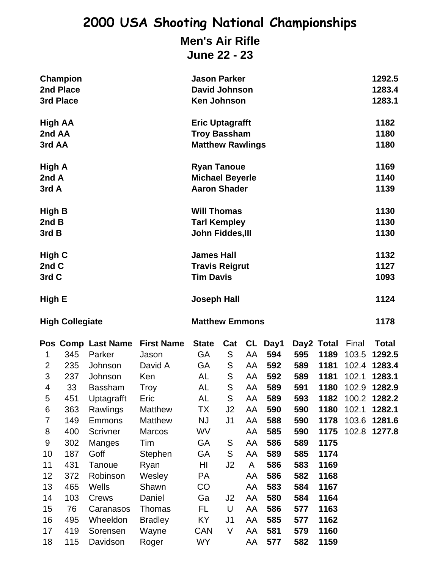## **Men's Air Rifle**

**June 22 - 23**

|                                                                                                                                             | Champion<br>2nd Place<br>3rd Place                                                                                |                                                                                                                                                                                                                                   |                                                                                                                                                                                                        |                                                                                                                                          | <b>Jason Parker</b><br><b>David Johnson</b><br><b>Ken Johnson</b>                                                                                           |                                                                                                   |                                                                                                                                |                                                                                                                     |                                                                                                                                                    |                                                             |                                                                                                          |  |
|---------------------------------------------------------------------------------------------------------------------------------------------|-------------------------------------------------------------------------------------------------------------------|-----------------------------------------------------------------------------------------------------------------------------------------------------------------------------------------------------------------------------------|--------------------------------------------------------------------------------------------------------------------------------------------------------------------------------------------------------|------------------------------------------------------------------------------------------------------------------------------------------|-------------------------------------------------------------------------------------------------------------------------------------------------------------|---------------------------------------------------------------------------------------------------|--------------------------------------------------------------------------------------------------------------------------------|---------------------------------------------------------------------------------------------------------------------|----------------------------------------------------------------------------------------------------------------------------------------------------|-------------------------------------------------------------|----------------------------------------------------------------------------------------------------------|--|
| High AA<br>2nd AA<br>3rd AA                                                                                                                 |                                                                                                                   |                                                                                                                                                                                                                                   |                                                                                                                                                                                                        | <b>Eric Uptagrafft</b><br><b>Troy Bassham</b><br><b>Matthew Rawlings</b>                                                                 |                                                                                                                                                             | 1182<br>1180<br>1180                                                                              |                                                                                                                                |                                                                                                                     |                                                                                                                                                    |                                                             |                                                                                                          |  |
| High A<br>2nd A<br>3rd A                                                                                                                    |                                                                                                                   |                                                                                                                                                                                                                                   |                                                                                                                                                                                                        | <b>Ryan Tanoue</b><br><b>Michael Beyerle</b><br><b>Aaron Shader</b>                                                                      |                                                                                                                                                             | 1169<br>1140<br>1139                                                                              |                                                                                                                                |                                                                                                                     |                                                                                                                                                    |                                                             |                                                                                                          |  |
| High B<br>2nd B<br>3rd B                                                                                                                    |                                                                                                                   |                                                                                                                                                                                                                                   |                                                                                                                                                                                                        | <b>Will Thomas</b><br><b>Tarl Kempley</b><br>John Fiddes, III                                                                            |                                                                                                                                                             |                                                                                                   |                                                                                                                                |                                                                                                                     |                                                                                                                                                    |                                                             | 1130<br>1130<br>1130                                                                                     |  |
| High C<br>2nd C<br>3rd C                                                                                                                    |                                                                                                                   |                                                                                                                                                                                                                                   |                                                                                                                                                                                                        | <b>James Hall</b><br><b>Travis Reigrut</b><br><b>Tim Davis</b>                                                                           |                                                                                                                                                             | 1132<br>1127<br>1093                                                                              |                                                                                                                                |                                                                                                                     |                                                                                                                                                    |                                                             |                                                                                                          |  |
| High E                                                                                                                                      |                                                                                                                   |                                                                                                                                                                                                                                   | <b>Joseph Hall</b>                                                                                                                                                                                     |                                                                                                                                          |                                                                                                                                                             |                                                                                                   |                                                                                                                                |                                                                                                                     |                                                                                                                                                    | 1124                                                        |                                                                                                          |  |
|                                                                                                                                             | <b>High Collegiate</b>                                                                                            |                                                                                                                                                                                                                                   |                                                                                                                                                                                                        | <b>Matthew Emmons</b>                                                                                                                    |                                                                                                                                                             |                                                                                                   |                                                                                                                                |                                                                                                                     |                                                                                                                                                    |                                                             |                                                                                                          |  |
| 1<br>$\overline{2}$<br>3<br>$\overline{\mathbf{4}}$<br>5<br>6<br>7<br>8<br>$\boldsymbol{9}$<br>10<br>11<br>12<br>13<br>14<br>15<br>16<br>17 | 345<br>235<br>237<br>33<br>451<br>363<br>149<br>400<br>302<br>187<br>431<br>372<br>465<br>103<br>76<br>495<br>419 | Pos Comp Last Name<br>Parker<br>Johnson<br>Johnson<br><b>Bassham</b><br><b>Uptagrafft</b><br>Rawlings<br><b>Emmons</b><br>Scrivner<br>Manges<br>Goff<br>Tanoue<br>Robinson<br>Wells<br>Crews<br>Caranasos<br>Wheeldon<br>Sorensen | <b>First Name</b><br>Jason<br>David A<br>Ken<br>Troy<br>Eric<br><b>Matthew</b><br>Matthew<br><b>Marcos</b><br>Tim<br>Stephen<br>Ryan<br>Wesley<br>Shawn<br>Daniel<br>Thomas<br><b>Bradley</b><br>Wayne | <b>State</b><br>GA<br>GA<br>AL<br>AL<br><b>AL</b><br>TX<br><b>NJ</b><br>WV<br>GA<br>GA<br>HI<br>PA<br>CO<br>Ga<br>FL<br>KY<br><b>CAN</b> | Cat<br>S<br>S<br>${\mathsf S}$<br>S<br>S<br>J <sub>2</sub><br>J <sub>1</sub><br>S<br>S<br>J <sub>2</sub><br>J <sub>2</sub><br>U<br>J <sub>1</sub><br>$\vee$ | AA<br>AA<br>AA<br>AA<br>AA<br>AA<br>AA<br>AA<br>AA<br>AA<br>A<br>AA<br>AA<br>AA<br>AA<br>AA<br>AA | CL Day1<br>594<br>592<br>592<br>589<br>589<br>590<br>588<br>585<br>586<br>589<br>586<br>586<br>583<br>580<br>586<br>585<br>581 | 595<br>589<br>589<br>591<br>593<br>590<br>590<br>590<br>589<br>585<br>583<br>582<br>584<br>584<br>577<br>577<br>579 | Day2 Total<br>1189<br>1181<br>1181<br>1180<br>1182<br>1180<br>1178<br>1175<br>1175<br>1174<br>1169<br>1168<br>1167<br>1164<br>1163<br>1162<br>1160 | Final<br>103.5<br>102.4<br>102.1<br>102.9<br>102.1<br>103.6 | <b>Total</b><br>1292.5<br>1283.4<br>1283.1<br>1282.9<br>100.2 1282.2<br>1282.1<br>1281.6<br>102.8 1277.8 |  |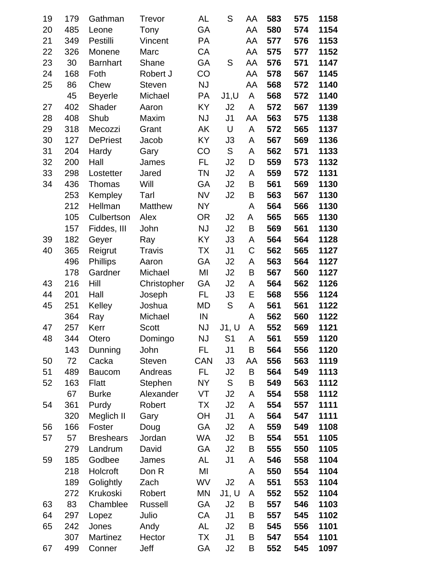| 19 | 179 | Gathman          | Trevor         | AL         | S              | AA | 583 | 575 | 1158 |
|----|-----|------------------|----------------|------------|----------------|----|-----|-----|------|
| 20 | 485 | Leone            | Tony           | GA         |                | AA | 580 | 574 | 1154 |
| 21 | 349 | Pestilli         | Vincent        | PA         |                | AA | 577 | 576 | 1153 |
| 22 | 326 | Monene           | Marc           | CA         |                | AA | 575 | 577 | 1152 |
| 23 | 30  | <b>Barnhart</b>  | Shane          | GA         | S              | AA | 576 | 571 | 1147 |
| 24 | 168 | Foth             | Robert J       | CO         |                | AA | 578 | 567 | 1145 |
| 25 | 86  | Chew             | <b>Steven</b>  | <b>NJ</b>  |                | AA | 568 | 572 | 1140 |
|    | 45  | <b>Beyerle</b>   | Michael        | <b>PA</b>  | J1, U          | A  | 568 | 572 | 1140 |
| 27 | 402 | Shader           | Aaron          | <b>KY</b>  | J <sub>2</sub> | A  | 572 | 567 | 1139 |
| 28 | 408 | Shub             | Maxim          | <b>NJ</b>  | J <sub>1</sub> | AA | 563 | 575 | 1138 |
| 29 | 318 | Mecozzi          | Grant          | AK         | U              | A  | 572 | 565 | 1137 |
| 30 | 127 | <b>DePriest</b>  | Jacob          | <b>KY</b>  | J3             | A  | 567 | 569 | 1136 |
| 31 | 204 | Hardy            | Gary           | CO         | S              | A  | 562 | 571 | 1133 |
| 32 | 200 | Hall             | James          | FL         | J2             | D  | 559 | 573 | 1132 |
| 33 | 298 | Lostetter        | Jared          | TN         | J <sub>2</sub> | A  | 559 | 572 | 1131 |
| 34 | 436 | Thomas           | Will           | GA         | J2             | B  | 561 | 569 | 1130 |
|    | 253 | Kempley          | Tarl           | <b>NV</b>  | J2             | Β  | 563 | 567 | 1130 |
|    | 212 | Hellman          | <b>Matthew</b> | <b>NY</b>  |                | A  | 564 | 566 | 1130 |
|    | 105 | Culbertson       | Alex           | <b>OR</b>  | J2             | A  | 565 | 565 | 1130 |
|    | 157 | Fiddes, III      | John           | <b>NJ</b>  | J2             | Β  | 569 | 561 | 1130 |
| 39 | 182 | Geyer            | Ray            | KY         | J3             | A  | 564 | 564 | 1128 |
| 40 | 365 | Reigrut          | <b>Travis</b>  | TX         | J <sub>1</sub> | C  | 562 | 565 | 1127 |
|    | 496 | <b>Phillips</b>  | Aaron          | GA         | J2             | A  | 563 | 564 | 1127 |
|    | 178 | Gardner          | Michael        | MI         | J2             | B  | 567 | 560 | 1127 |
| 43 | 216 | Hill             | Christopher    | GA         | J2             | A  | 564 | 562 | 1126 |
| 44 | 201 | Hall             | Joseph         | FL         | J3             | Ε  | 568 | 556 | 1124 |
| 45 | 251 | Kelley           | Joshua         | MD         | ${\mathsf S}$  | Α  | 561 | 561 | 1122 |
|    | 364 | Ray              | Michael        | IN         |                | A  | 562 | 560 | 1122 |
| 47 | 257 | Kerr             | <b>Scott</b>   | <b>NJ</b>  | J1, U          | A  | 552 | 569 | 1121 |
| 48 | 344 | Otero            | Domingo        | NJ         | S <sub>1</sub> | А  | 561 | 559 | 1120 |
|    | 143 | Dunning          | John           | FL         | J <sub>1</sub> | B  | 564 | 556 | 1120 |
| 50 | 72  | Cacka            | <b>Steven</b>  | <b>CAN</b> | J3             | AA | 556 | 563 | 1119 |
| 51 | 489 | <b>Baucom</b>    | Andreas        | FL         | J2             | B  | 564 | 549 | 1113 |
| 52 | 163 | <b>Flatt</b>     | Stephen        | NY         | S              | B  | 549 | 563 | 1112 |
|    | 67  | <b>Burke</b>     | Alexander      | VT         | J2             | A  | 554 | 558 | 1112 |
| 54 | 361 | Purdy            | Robert         | ТX         | J2             | A  | 554 | 557 | 1111 |
|    | 320 | Meglich II       | Gary           | <b>OH</b>  | J1             | A  | 564 | 547 | 1111 |
| 56 | 166 | Foster           | Doug           | GA         | J <sub>2</sub> | A  | 559 | 549 | 1108 |
| 57 | 57  | <b>Breshears</b> | Jordan         | WA         | J2             | B  | 554 | 551 | 1105 |
|    | 279 | Landrum          | David          | GA         | J2             | B  | 555 | 550 | 1105 |
| 59 | 185 | Godbee           | James          | AL         | J <sub>1</sub> | A  | 546 | 558 | 1104 |
|    | 218 | Holcroft         | Don R          | MI         |                | A  | 550 | 554 | 1104 |
|    | 189 | Golightly        | Zach           | WV         | J2             | A  | 551 | 553 | 1104 |
|    | 272 | Krukoski         | Robert         | <b>MN</b>  | J1, U          | A  | 552 | 552 | 1104 |
| 63 | 83  | Chamblee         | Russell        | GA         | J <sub>2</sub> | B  | 557 | 546 | 1103 |
| 64 | 297 | Lopez            | Julio          | CA         | J <sub>1</sub> | B  | 557 | 545 | 1102 |
| 65 | 242 | Jones            | Andy           | <b>AL</b>  | J <sub>2</sub> | B  | 545 | 556 | 1101 |
|    | 307 | Martinez         | Hector         | ТX         | J <sub>1</sub> | B  | 547 | 554 | 1101 |
| 67 | 499 | Conner           | Jeff           | GA         | J2             | Β  | 552 | 545 | 1097 |
|    |     |                  |                |            |                |    |     |     |      |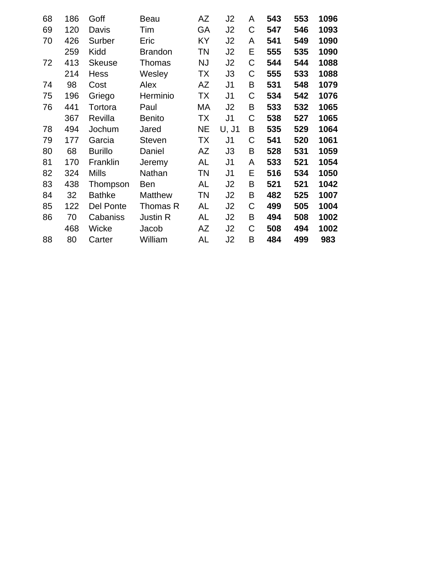| 68 | 186 | Goff           | Beau            | AΖ        | J2             | A | 543 | 553 | 1096 |
|----|-----|----------------|-----------------|-----------|----------------|---|-----|-----|------|
| 69 | 120 | Davis          | Tim             | GA        | J2             | C | 547 | 546 | 1093 |
| 70 | 426 | Surber         | Eric            | KY        | J <sub>2</sub> | A | 541 | 549 | 1090 |
|    | 259 | Kidd           | <b>Brandon</b>  | ΤN        | J2             | Ε | 555 | 535 | 1090 |
| 72 | 413 | <b>Skeuse</b>  | Thomas          | <b>NJ</b> | J2             | C | 544 | 544 | 1088 |
|    | 214 | <b>Hess</b>    | Wesley          | ТX        | J3             | C | 555 | 533 | 1088 |
| 74 | 98  | Cost           | Alex            | AΖ        | J <sub>1</sub> | B | 531 | 548 | 1079 |
| 75 | 196 | Griego         | Herminio        | ТX        | J <sub>1</sub> | C | 534 | 542 | 1076 |
| 76 | 441 | Tortora        | Paul            | МA        | J2             | B | 533 | 532 | 1065 |
|    | 367 | Revilla        | <b>Benito</b>   | ТX        | J <sub>1</sub> | C | 538 | 527 | 1065 |
| 78 | 494 | Jochum         | Jared           | <b>NE</b> | U, J1          | B | 535 | 529 | 1064 |
| 79 | 177 | Garcia         | <b>Steven</b>   | <b>TX</b> | J <sub>1</sub> | C | 541 | 520 | 1061 |
| 80 | 68  | <b>Burillo</b> | Daniel          | ΑZ        | J3             | B | 528 | 531 | 1059 |
| 81 | 170 | Franklin       | Jeremy          | AL        | J <sub>1</sub> | A | 533 | 521 | 1054 |
| 82 | 324 | <b>Mills</b>   | Nathan          | ΤN        | J <sub>1</sub> | Е | 516 | 534 | 1050 |
| 83 | 438 | Thompson       | Ben             | AL        | J2             | B | 521 | 521 | 1042 |
| 84 | 32  | <b>Bathke</b>  | <b>Matthew</b>  | ΤN        | J <sub>2</sub> | B | 482 | 525 | 1007 |
| 85 | 122 | Del Ponte      | Thomas R        | AL        | J <sub>2</sub> | C | 499 | 505 | 1004 |
| 86 | 70  | Cabaniss       | <b>Justin R</b> | AL        | J2             | B | 494 | 508 | 1002 |
|    | 468 | Wicke          | Jacob           | AΖ        | J2             | C | 508 | 494 | 1002 |
| 88 | 80  | Carter         | William         | AL        | J <sub>2</sub> | B | 484 | 499 | 983  |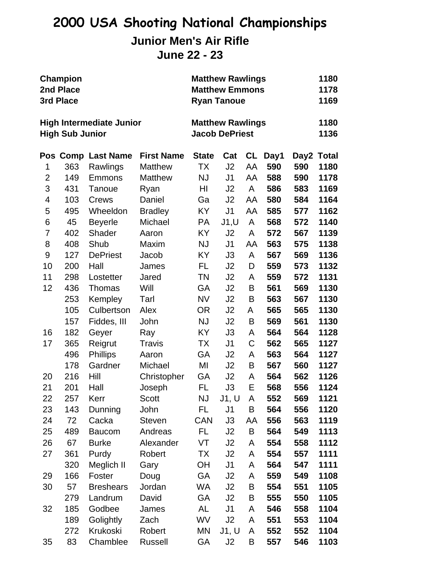## **Junior Men's Air Rifle**

**June 22 - 23**

| <b>Champion</b><br>2nd Place<br>3rd Place<br><b>High Intermediate Junior</b><br><b>High Sub Junior</b> |     |                    |                   | <b>Matthew Rawlings</b><br><b>Matthew Emmons</b><br><b>Ryan Tanoue</b><br><b>Matthew Rawlings</b><br><b>Jacob DePriest</b> |                |           |      | 1180<br>1178<br>1169 |            |
|--------------------------------------------------------------------------------------------------------|-----|--------------------|-------------------|----------------------------------------------------------------------------------------------------------------------------|----------------|-----------|------|----------------------|------------|
|                                                                                                        |     |                    |                   |                                                                                                                            |                |           |      | 1180<br>1136         |            |
|                                                                                                        |     | Pos Comp Last Name | <b>First Name</b> | <b>State</b>                                                                                                               | Cat            | <b>CL</b> | Day1 |                      | Day2 Total |
| 1                                                                                                      | 363 | Rawlings           | <b>Matthew</b>    | ТX                                                                                                                         | J2             | AA        | 590  | 590                  | 1180       |
| $\overline{2}$                                                                                         | 149 | <b>Emmons</b>      | <b>Matthew</b>    | <b>NJ</b>                                                                                                                  | J <sub>1</sub> | AA        | 588  | 590                  | 1178       |
| 3                                                                                                      | 431 | Tanoue             | Ryan              | HI                                                                                                                         | J2             | A         | 586  | 583                  | 1169       |
| 4                                                                                                      | 103 | Crews              | Daniel            | Ga                                                                                                                         | J2             | AA        | 580  | 584                  | 1164       |
| 5                                                                                                      | 495 | Wheeldon           | <b>Bradley</b>    | KY                                                                                                                         | J <sub>1</sub> | AA        | 585  | 577                  | 1162       |
| 6                                                                                                      | 45  | <b>Beyerle</b>     | Michael           | PA                                                                                                                         | J1, U          | A         | 568  | 572                  | 1140       |
| 7                                                                                                      | 402 | Shader             | Aaron             | KY                                                                                                                         | J <sub>2</sub> | A         | 572  | 567                  | 1139       |
| 8                                                                                                      | 408 | Shub               | Maxim             | <b>NJ</b>                                                                                                                  | J <sub>1</sub> | AA        | 563  | 575                  | 1138       |
| 9                                                                                                      | 127 | <b>DePriest</b>    | Jacob             | ΚY                                                                                                                         | J3             | A         | 567  | 569                  | 1136       |
| 10                                                                                                     | 200 | Hall               | James             | FL                                                                                                                         | J2             | D         | 559  | 573                  | 1132       |
| 11                                                                                                     | 298 | Lostetter          | Jared             | <b>TN</b>                                                                                                                  | J2             | A         | 559  | 572                  | 1131       |
| 12                                                                                                     | 436 | Thomas             | Will              | GA                                                                                                                         | J2             | B         | 561  | 569                  | 1130       |
|                                                                                                        | 253 | Kempley            | Tarl              | <b>NV</b>                                                                                                                  | J2             | B         | 563  | 567                  | 1130       |
|                                                                                                        | 105 | Culbertson         | Alex              | <b>OR</b>                                                                                                                  | J2             | A         | 565  | 565                  | 1130       |
|                                                                                                        | 157 | Fiddes, III        | John              | <b>NJ</b>                                                                                                                  | J <sub>2</sub> | Β         | 569  | 561                  | 1130       |
| 16                                                                                                     | 182 | Geyer              | Ray               | KY                                                                                                                         | J3             | A         | 564  | 564                  | 1128       |
| 17                                                                                                     | 365 | Reigrut            | <b>Travis</b>     | ТX                                                                                                                         | J <sub>1</sub> | C         | 562  | 565                  | 1127       |
|                                                                                                        | 496 | <b>Phillips</b>    | Aaron             | <b>GA</b>                                                                                                                  | J2             | A         | 563  | 564                  | 1127       |
|                                                                                                        | 178 | Gardner            | Michael           | MI                                                                                                                         | J2             | B         | 567  | 560                  | 1127       |
| 20                                                                                                     | 216 | Hill               | Christopher       | GA                                                                                                                         | J2             | A         | 564  | 562                  | 1126       |
| 21                                                                                                     | 201 | Hall               | Joseph            | FL                                                                                                                         | J3             | Е         | 568  | 556                  | 1124       |
| 22                                                                                                     | 257 | Kerr               | <b>Scott</b>      | NJ                                                                                                                         | J1, U          | A         | 552  | 569                  | 1121       |
| 23                                                                                                     | 143 | Dunning            | John              | FL                                                                                                                         | J <sub>1</sub> | B         | 564  | 556                  | 1120       |
| 24                                                                                                     | 72  | Cacka              | <b>Steven</b>     | <b>CAN</b>                                                                                                                 | J3             | AA        | 556  | 563                  | 1119       |
| 25                                                                                                     | 489 | <b>Baucom</b>      | Andreas           | FL                                                                                                                         | J2             | B         | 564  | 549                  | 1113       |
| 26                                                                                                     | 67  | <b>Burke</b>       | Alexander         | VT                                                                                                                         | J <sub>2</sub> | A         | 554  | 558                  | 1112       |
| 27                                                                                                     | 361 | Purdy              | Robert            | <b>TX</b>                                                                                                                  | J <sub>2</sub> | A         | 554  | 557                  | 1111       |
|                                                                                                        | 320 | Meglich II         | Gary              | ОH                                                                                                                         | J1             | A         | 564  | 547                  | 1111       |
| 29                                                                                                     | 166 | Foster             | Doug              | GA                                                                                                                         | J2             | A         | 559  | 549                  | 1108       |
| 30                                                                                                     | 57  | <b>Breshears</b>   | Jordan            | WA                                                                                                                         | J2             | B         | 554  | 551                  | 1105       |
|                                                                                                        | 279 | Landrum            | David             | GA                                                                                                                         | J <sub>2</sub> | Β         | 555  | 550                  | 1105       |
| 32                                                                                                     | 185 | Godbee             | James             | AL                                                                                                                         | J1             | A         | 546  | 558                  | 1104       |
|                                                                                                        | 189 | Golightly          | Zach              | WV                                                                                                                         | J2             | A         | 551  | 553                  | 1104       |
|                                                                                                        | 272 | Krukoski           | Robert            | MN                                                                                                                         | J1, U          | A         | 552  | 552                  | 1104       |
| 35                                                                                                     | 83  | Chamblee           | <b>Russell</b>    | GA                                                                                                                         | J2             | B         | 557  | 546                  | 1103       |